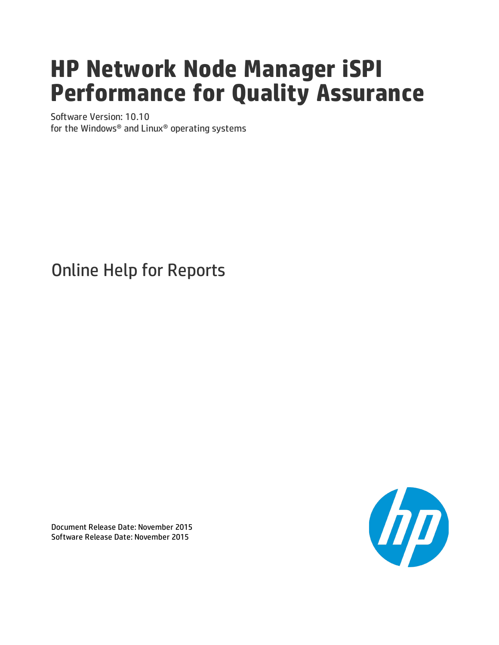# **HP Network Node Manager iSPI Performance for Quality Assurance**

Software Version: 10.10 for the Windows® and Linux® operating systems

# Online Help for Reports



Document Release Date: November 2015 Software Release Date: November 2015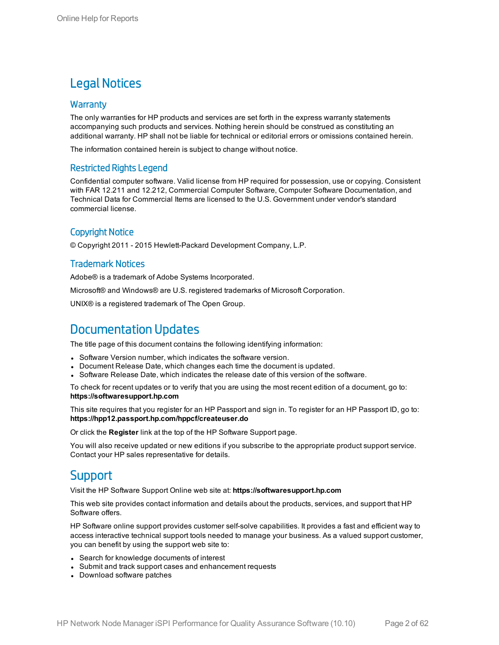## Legal Notices

### **Warranty**

The only warranties for HP products and services are set forth in the express warranty statements accompanying such products and services. Nothing herein should be construed as constituting an additional warranty. HP shall not be liable for technical or editorial errors or omissions contained herein.

The information contained herein is subject to change without notice.

### Restricted Rights Legend

Confidential computer software. Valid license from HP required for possession, use or copying. Consistent with FAR 12.211 and 12.212, Commercial Computer Software, Computer Software Documentation, and Technical Data for Commercial Items are licensed to the U.S. Government under vendor's standard commercial license.

### Copyright Notice

© Copyright 2011 - 2015 Hewlett-Packard Development Company, L.P.

### Trademark Notices

Adobe® is a trademark of Adobe Systems Incorporated.

Microsoft® and Windows® are U.S. registered trademarks of Microsoft Corporation.

UNIX® is a registered trademark of The Open Group.

## Documentation Updates

The title page of this document contains the following identifying information:

- Software Version number, which indicates the software version.
- Document Release Date, which changes each time the document is updated.
- <sup>l</sup> Software Release Date, which indicates the release date of this version of the software.

To check for recent updates or to verify that you are using the most recent edition of a document, go to: **https://softwaresupport.hp.com**

This site requires that you register for an HP Passport and sign in. To register for an HP Passport ID, go to: **https://hpp12.passport.hp.com/hppcf/createuser.do**

Or click the **Register** link at the top of the HP Software Support page.

You will also receive updated or new editions if you subscribe to the appropriate product support service. Contact your HP sales representative for details.

### **Support**

Visit the HP Software Support Online web site at: **https://softwaresupport.hp.com**

This web site provides contact information and details about the products, services, and support that HP Software offers.

HP Software online support provides customer self-solve capabilities. It provides a fast and efficient way to access interactive technical support tools needed to manage your business. As a valued support customer, you can benefit by using the support web site to:

- Search for knowledge documents of interest
- Submit and track support cases and enhancement requests
- Download software patches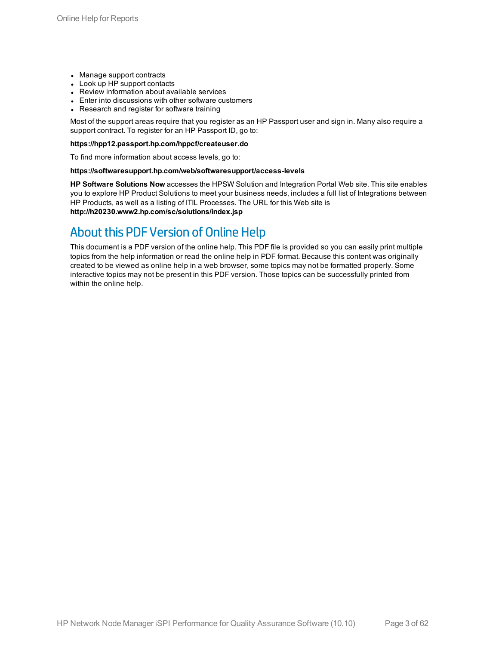- Manage support contracts
- Look up HP support contacts
- Review information about available services
- Enter into discussions with other software customers
- Research and register for software training

Most of the support areas require that you register as an HP Passport user and sign in. Many also require a support contract. To register for an HP Passport ID, go to:

#### **https://hpp12.passport.hp.com/hppcf/createuser.do**

To find more information about access levels, go to:

#### **https://softwaresupport.hp.com/web/softwaresupport/access-levels**

**HP Software Solutions Now** accesses the HPSW Solution and Integration Portal Web site. This site enables you to explore HP Product Solutions to meet your business needs, includes a full list of Integrations between HP Products, as well as a listing of ITIL Processes. The URL for this Web site is **http://h20230.www2.hp.com/sc/solutions/index.jsp**

## About this PDF Version of Online Help

This document is a PDF version of the online help. This PDF file is provided so you can easily print multiple topics from the help information or read the online help in PDF format. Because this content was originally created to be viewed as online help in a web browser, some topics may not be formatted properly. Some interactive topics may not be present in this PDF version. Those topics can be successfully printed from within the online help.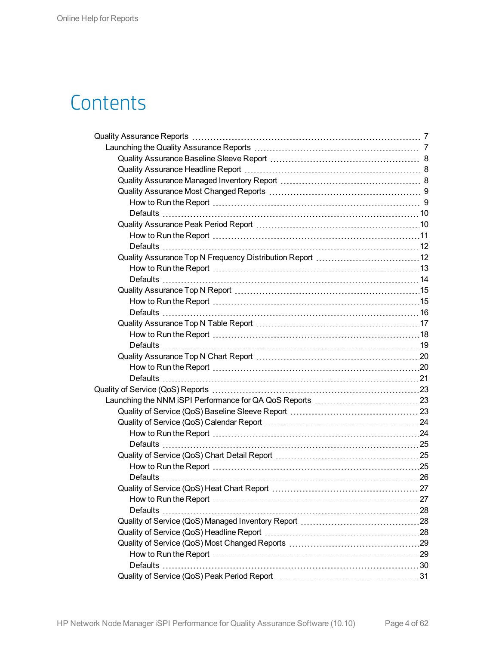# **Contents**

| <b>Defaults</b> |  |
|-----------------|--|
|                 |  |
|                 |  |
|                 |  |
|                 |  |
|                 |  |
|                 |  |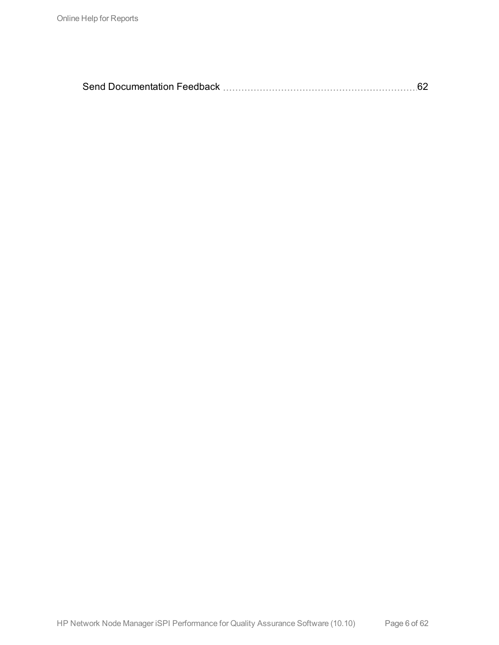|--|--|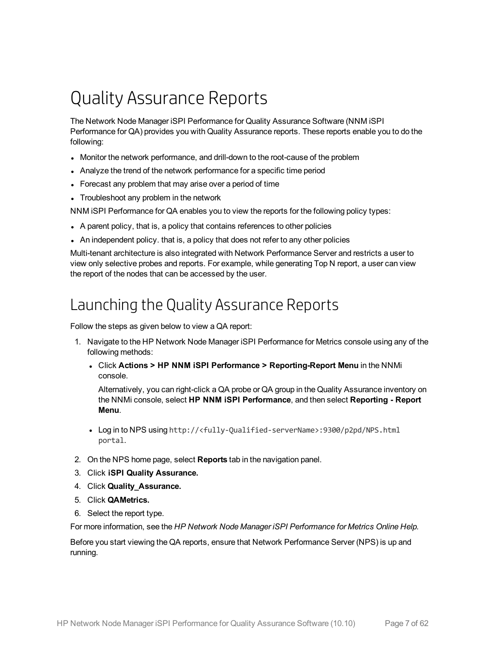# <span id="page-6-0"></span>Quality Assurance Reports

The Network Node Manager iSPI Performance for Quality Assurance Software (NNM iSPI Performance for QA) provides you with Quality Assurance reports. These reports enable you to do the following:

- Monitor the network performance, and drill-down to the root-cause of the problem
- Analyze the trend of the network performance for a specific time period
- Forecast any problem that may arise over a period of time
- Troubleshoot any problem in the network

NNM iSPI Performance for QA enables you to view the reports for the following policy types:

- A parent policy, that is, a policy that contains references to other policies
- An independent policy. that is, a policy that does not refer to any other policies

Multi-tenant architecture is also integrated with Network Performance Server and restricts a user to view only selective probes and reports. For example, while generating Top N report, a user can view the report of the nodes that can be accessed by the user.

## <span id="page-6-1"></span>Launching the Quality Assurance Reports

Follow the steps as given below to view a QA report:

- 1. Navigate to the HP Network Node Manager iSPI Performance for Metrics console using any of the following methods:
	- <sup>l</sup> Click **Actions > HP NNM iSPI Performance > Reporting-Report Menu** in the NNMi console.

Alternatively, you can right-click a QA probe or QA group in the Quality Assurance inventory on the NNMi console, select **HP NNM iSPI Performance**, and then select **Reporting - Report Menu**.

- <sup>l</sup> Log in to NPS using http://<fully-Qualified-serverName>:9300/p2pd/NPS.html portal.
- 2. On the NPS home page, select **Reports** tab in the navigation panel.
- 3. Click **iSPI Quality Assurance.**
- 4. Click **Quality\_Assurance.**
- 5. Click **QAMetrics.**
- 6. Select the report type.

For more information, see the *HP Network Node Manager iSPI Performance for Metrics Online Help.*

Before you start viewing the QA reports, ensure that Network Performance Server (NPS) is up and running.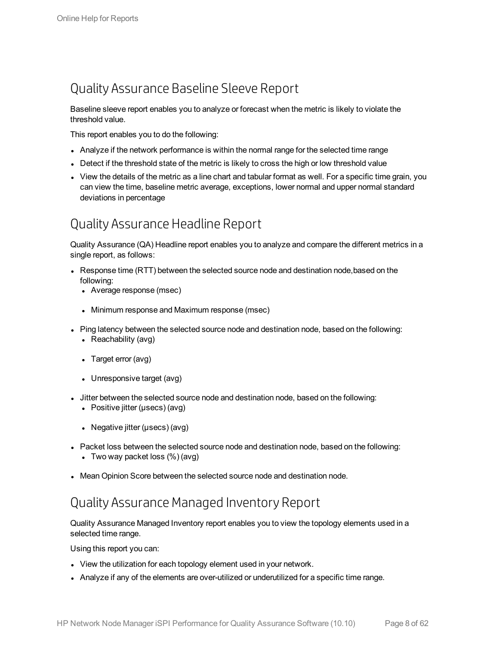## <span id="page-7-0"></span>Quality Assurance Baseline Sleeve Report

Baseline sleeve report enables you to analyze or forecast when the metric is likely to violate the threshold value.

This report enables you to do the following:

- Analyze if the network performance is within the normal range for the selected time range
- $\bullet$  Detect if the threshold state of the metric is likely to cross the high or low threshold value
- View the details of the metric as a line chart and tabular format as well. For a specific time grain, you can view the time, baseline metric average, exceptions, lower normal and upper normal standard deviations in percentage

## <span id="page-7-1"></span>Quality Assurance Headline Report

Quality Assurance (QA) Headline report enables you to analyze and compare the different metrics in a single report, as follows:

- Response time (RTT) between the selected source node and destination node, based on the following:
	- Average response (msec)
	- Minimum response and Maximum response (msec)
- Ping latency between the selected source node and destination node, based on the following:
	- Reachability (avg)
	- Target error (avg)
	- $\bullet$  Unresponsive target (avg)
- <sup>l</sup> Jitter between the selected source node and destination node, based on the following:
	- Positive jitter ( $\mu$ secs) (avg)
	- Negative jitter ( $\mu$ secs) (avg)
- Packet loss between the selected source node and destination node, based on the following:
	- Two way packet loss  $(\%)$  (avg)
- <span id="page-7-2"></span>• Mean Opinion Score between the selected source node and destination node.

## Quality AssuranceManaged Inventory Report

Quality Assurance Managed Inventory report enables you to view the topology elements used in a selected time range.

Using this report you can:

- View the utilization for each topology element used in your network.
- Analyze if any of the elements are over-utilized or underutilized for a specific time range.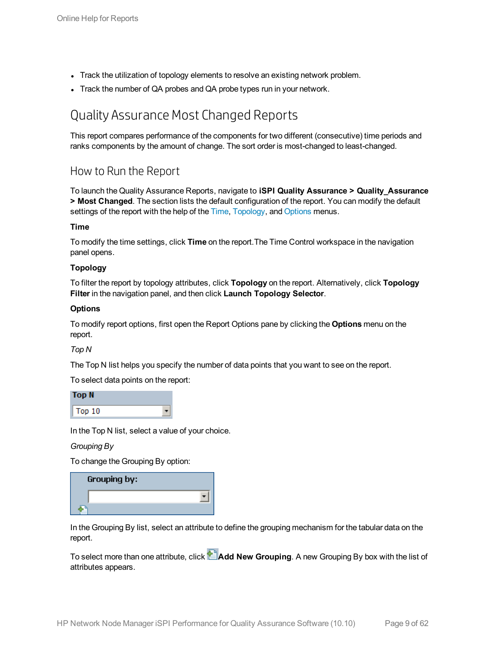- Track the utilization of topology elements to resolve an existing network problem.
- <span id="page-8-0"></span>Track the number of QA probes and QA probe types run in your network.

## Quality Assurance Most Changed Reports

This report compares performance of the components for two different (consecutive) time periods and ranks components by the amount of change. The sort order is most-changed to least-changed.

### <span id="page-8-1"></span>How to Run the Report

To launch the Quality Assurance Reports, navigate to **iSPI Quality Assurance > Quality\_Assurance > Most Changed**. The section lists the default configuration of the report. You can modify the default settings of the report with the help of the [Time](#page-8-2), [Topology,](#page-8-3) and [Options](#page-8-4) menus.

### <span id="page-8-2"></span>**Time**

To modify the time settings, click **Time** on the report.The Time Control workspace in the navigation panel opens.

### <span id="page-8-3"></span>**Topology**

To filter the report by topology attributes, click **Topology** on the report. Alternatively, click **Topology Filter** in the navigation panel, and then click **Launch Topology Selector**.

### <span id="page-8-4"></span>**Options**

To modify report options, first open the Report Options pane by clicking the **Options** menu on the report.

*Top N*

The Top N list helps you specify the number of data points that you want to see on the report.

To select data points on the report:

| <b>Top N</b> |  |
|--------------|--|
| Top 10       |  |

In the Top N list, select a value of your choice.

*Grouping By*

To change the Grouping By option:

| Grouping by: |  |
|--------------|--|
|              |  |
|              |  |

In the Grouping By list, select an attribute to define the grouping mechanism for the tabular data on the report.

To select more than one attribute, click **Add New Grouping**. A new Grouping By box with the list of attributes appears.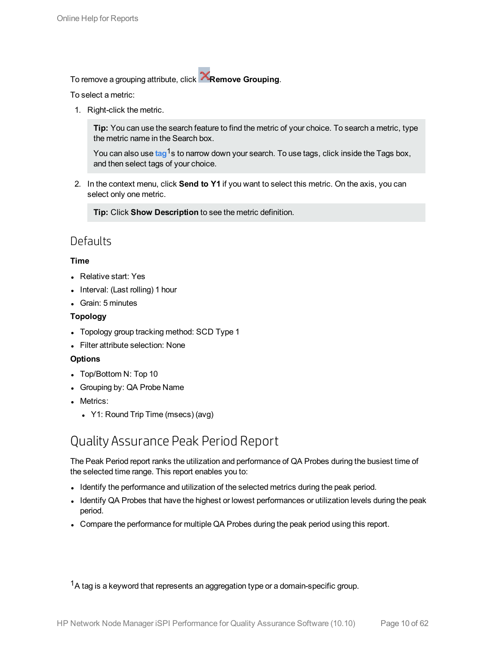To remove a grouping attribute, click **Remove Grouping**.

To select a metric:

1. Right-click the metric.

**Tip:** You can use the search feature to find the metric of your choice. To search a metric, type the metric name in the Search box.

You can also use tag<sup>1</sup>s to narrow down your search. To use tags, click inside the Tags box, and then select tags of your choice.

2. In the context menu, click **Send to Y1** if you want to select this metric. On the axis, you can select only one metric.

**Tip:** Click **Show Description** to see the metric definition.

### <span id="page-9-0"></span>**Defaults**

### **Time**

- Relative start: Yes
- $\bullet$  Interval: (Last rolling) 1 hour
- Grain: 5 minutes

### **Topology**

- Topology group tracking method: SCD Type 1
- Filter attribute selection: None

### **Options**

- Top/Bottom N: Top 10
- Grouping by: QA Probe Name
- Metrics:
	- Y1: Round Trip Time (msecs) (avg)

## <span id="page-9-1"></span>Quality Assurance Peak Period Report

The Peak Period report ranks the utilization and performance of QA Probes during the busiest time of the selected time range. This report enables you to:

- Identify the performance and utilization of the selected metrics during the peak period.
- Identify QA Probes that have the highest or lowest performances or utilization levels during the peak period.
- Compare the performance for multiple QA Probes during the peak period using this report.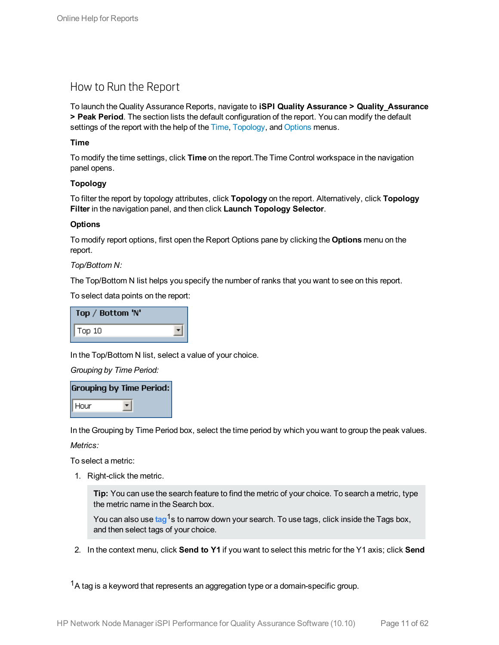### <span id="page-10-0"></span>How to Run the Report

To launch the Quality Assurance Reports, navigate to **iSPI Quality Assurance > Quality\_Assurance > Peak Period**. The section lists the default configuration of the report. You can modify the default settings of the report with the help of the [Time](#page-10-1), [Topology,](#page-10-2) and [Options](#page-10-3) menus.

### <span id="page-10-1"></span>**Time**

To modify the time settings, click **Time** on the report.The Time Control workspace in the navigation panel opens.

### <span id="page-10-2"></span>**Topology**

To filter the report by topology attributes, click **Topology** on the report. Alternatively, click **Topology Filter** in the navigation panel, and then click **Launch Topology Selector**.

### <span id="page-10-3"></span>**Options**

To modify report options, first open the Report Options pane by clicking the **Options** menu on the report.

### *Top/Bottom N:*

The Top/Bottom N list helps you specify the number of ranks that you want to see on this report.

To select data points on the report:

| Top / Bottom 'N' |  |
|------------------|--|
| Top 10           |  |

In the Top/Bottom N list, select a value of your choice.

*Grouping by Time Period:*

|      | <b>Grouping by Time Period:</b> |
|------|---------------------------------|
| Hour |                                 |

In the Grouping by Time Period box, select the time period by which you want to group the peak values.

*Metrics:*

To select a metric:

1. Right-click the metric.

**Tip:** You can use the search feature to find the metric of your choice. To search a metric, type the metric name in the Search box.

You can also use tag<sup>1</sup>s to narrow down your search. To use tags, click inside the Tags box, and then select tags of your choice.

2. In the context menu, click **Send to Y1** if you want to select this metric for the Y1 axis; click **Send**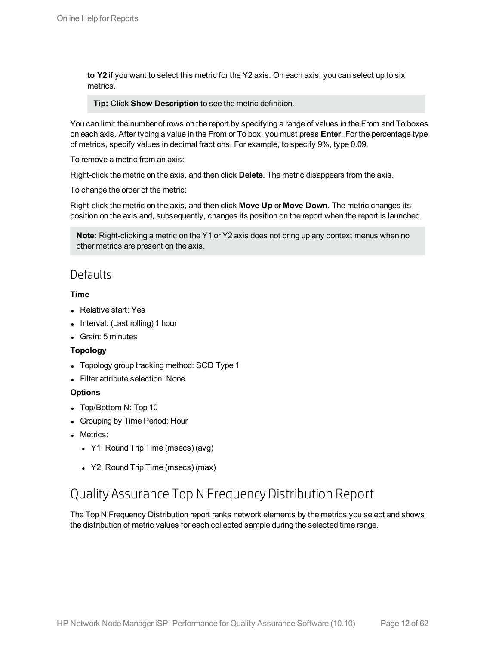**to Y2** if you want to select this metric for the Y2 axis. On each axis, you can select up to six metrics.

**Tip:** Click **Show Description** to see the metric definition.

You can limit the number of rows on the report by specifying a range of values in the From and To boxes on each axis. After typing a value in the From or To box, you must press **Enter**. For the percentage type of metrics, specify values in decimal fractions. For example, to specify 9%, type 0.09.

To remove a metric from an axis:

Right-click the metric on the axis, and then click **Delete**. The metric disappears from the axis.

To change the order of the metric:

Right-click the metric on the axis, and then click **Move Up** or **Move Down**. The metric changes its position on the axis and, subsequently, changes its position on the report when the report is launched.

**Note:** Right-clicking a metric on the Y1 or Y2 axis does not bring up any context menus when no other metrics are present on the axis.

### <span id="page-11-0"></span>**Defaults**

### **Time**

- Relative start: Yes
- Interval: (Last rolling) 1 hour
- Grain: 5 minutes

### **Topology**

- Topology group tracking method: SCD Type 1
- **.** Filter attribute selection: None

### **Options**

- Top/Bottom N: Top 10
- Grouping by Time Period: Hour
- Metrics:
	- Y1: Round Trip Time (msecs) (avg)
	- Y2: Round Trip Time (msecs) (max)

## <span id="page-11-1"></span>Quality Assurance Top N Frequency Distribution Report

The Top N Frequency Distribution report ranks network elements by the metrics you select and shows the distribution of metric values for each collected sample during the selected time range.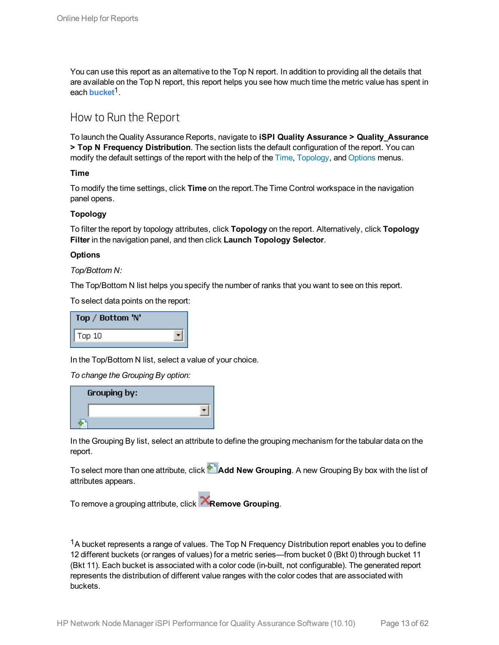You can use this report as an alternative to the Top N report. In addition to providing all the details that are available on the Top N report, this report helps you see how much time the metric value has spent in each **bucket**1.

### <span id="page-12-0"></span>How to Run the Report

To launch the Quality Assurance Reports, navigate to **iSPI Quality Assurance > Quality\_Assurance > Top N Frequency Distribution**. The section lists the default configuration of the report. You can modify the default settings of the report with the help of the [Time](#page-12-1), [Topology](#page-12-2), and [Options](#page-12-3) menus.

<span id="page-12-1"></span>**Time**

To modify the time settings, click **Time** on the report.The Time Control workspace in the navigation panel opens.

### <span id="page-12-2"></span>**Topology**

To filter the report by topology attributes, click **Topology** on the report. Alternatively, click **Topology Filter** in the navigation panel, and then click **Launch Topology Selector**.

### <span id="page-12-3"></span>**Options**

*Top/Bottom N:*

The Top/Bottom N list helps you specify the number of ranks that you want to see on this report.

To select data points on the report:

| Top / Bottom 'N' |  |
|------------------|--|
| Top 10           |  |

In the Top/Bottom N list, select a value of your choice.

*To change the Grouping By option:*

| Grouping by: |  |
|--------------|--|
|              |  |
|              |  |

In the Grouping By list, select an attribute to define the grouping mechanism for the tabular data on the report.

To select more than one attribute, click **Add New Grouping**. A new Grouping By box with the list of attributes appears.

To remove a grouping attribute, click **Remove Grouping**.

 $1A$  bucket represents a range of values. The Top N Frequency Distribution report enables you to define 12 different buckets (or ranges of values) for a metric series—from bucket 0 (Bkt 0) through bucket 11 (Bkt 11). Each bucket is associated with a color code (in-built, not configurable). The generated report represents the distribution of different value ranges with the color codes that are associated with buckets.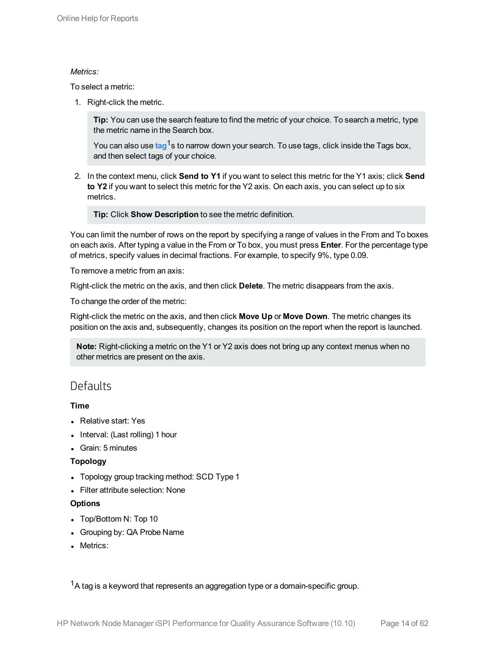### *Metrics:*

To select a metric:

1. Right-click the metric.

**Tip:** You can use the search feature to find the metric of your choice. To search a metric, type the metric name in the Search box.

You can also use tag<sup>1</sup>s to narrow down your search. To use tags, click inside the Tags box, and then select tags of your choice.

2. In the context menu, click **Send to Y1** if you want to select this metric for the Y1 axis; click **Send to Y2** if you want to select this metric for the Y2 axis. On each axis, you can select up to six metrics.

**Tip:** Click **Show Description** to see the metric definition.

You can limit the number of rows on the report by specifying a range of values in the From and To boxes on each axis. After typing a value in the From or To box, you must press **Enter**. For the percentage type of metrics, specify values in decimal fractions. For example, to specify 9%, type 0.09.

To remove a metric from an axis:

Right-click the metric on the axis, and then click **Delete**. The metric disappears from the axis.

To change the order of the metric:

Right-click the metric on the axis, and then click **Move Up** or **Move Down**. The metric changes its position on the axis and, subsequently, changes its position on the report when the report is launched.

**Note:** Right-clicking a metric on the Y1 or Y2 axis does not bring up any context menus when no other metrics are present on the axis.

### <span id="page-13-0"></span>**Defaults**

### **Time**

- Relative start: Yes
- Interval: (Last rolling) 1 hour
- Grain: 5 minutes

### **Topology**

- Topology group tracking method: SCD Type 1
- Filter attribute selection: None

### **Options**

- Top/Bottom N: Top 10
- Grouping by: QA Probe Name
- Metrics: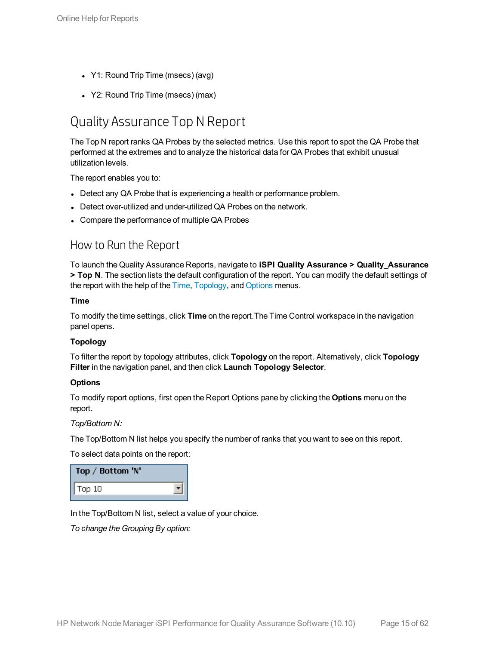- Y1: Round Trip Time (msecs) (avg)
- <span id="page-14-0"></span>• Y2: Round Trip Time (msecs) (max)

## Quality Assurance Top N Report

The Top N report ranks QA Probes by the selected metrics. Use this report to spot the QA Probe that performed at the extremes and to analyze the historical data for QA Probes that exhibit unusual utilization levels.

The report enables you to:

- Detect any QA Probe that is experiencing a health or performance problem.
- Detect over-utilized and under-utilized QA Probes on the network.
- <span id="page-14-1"></span>• Compare the performance of multiple QA Probes

### How to Run the Report

To launch the Quality Assurance Reports, navigate to **iSPI Quality Assurance > Quality\_Assurance > Top N**. The section lists the default configuration of the report. You can modify the default settings of the report with the help of the [Time](#page-14-2), [Topology](#page-14-3), and [Options](#page-14-4) menus.

### <span id="page-14-2"></span>**Time**

To modify the time settings, click **Time** on the report.The Time Control workspace in the navigation panel opens.

### <span id="page-14-3"></span>**Topology**

To filter the report by topology attributes, click **Topology** on the report. Alternatively, click **Topology Filter** in the navigation panel, and then click **Launch Topology Selector**.

#### <span id="page-14-4"></span>**Options**

To modify report options, first open the Report Options pane by clicking the **Options** menu on the report.

#### *Top/Bottom N:*

The Top/Bottom N list helps you specify the number of ranks that you want to see on this report.

To select data points on the report:

| Top / Bottom 'N' |  |
|------------------|--|
| Top 10           |  |

In the Top/Bottom N list, select a value of your choice.

*To change the Grouping By option:*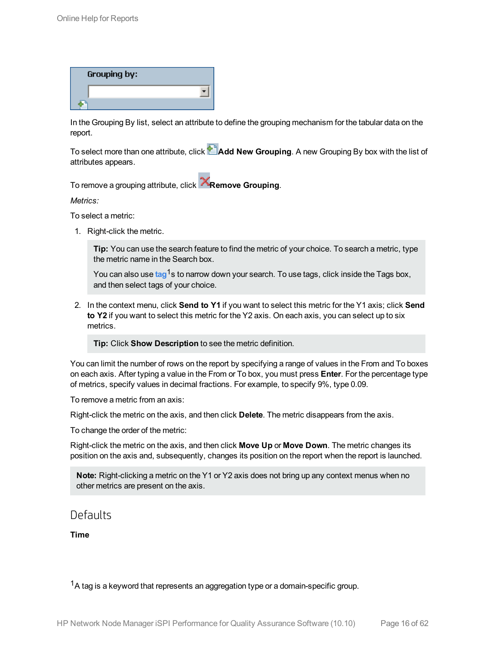| Grouping by: |  |
|--------------|--|
|              |  |
|              |  |

In the Grouping By list, select an attribute to define the grouping mechanism for the tabular data on the report.

To select more than one attribute, click **Add New Grouping**. A new Grouping By box with the list of attributes appears.

To remove a grouping attribute, click **Remove Grouping**.

*Metrics:*

To select a metric:

1. Right-click the metric.

**Tip:** You can use the search feature to find the metric of your choice. To search a metric, type the metric name in the Search box.

You can also use tag<sup>1</sup>s to narrow down your search. To use tags, click inside the Tags box, and then select tags of your choice.

2. In the context menu, click **Send to Y1** if you want to select this metric for the Y1 axis; click **Send to Y2** if you want to select this metric for the Y2 axis. On each axis, you can select up to six metrics.

**Tip:** Click **Show Description** to see the metric definition.

You can limit the number of rows on the report by specifying a range of values in the From and To boxes on each axis. After typing a value in the From or To box, you must press **Enter**. For the percentage type of metrics, specify values in decimal fractions. For example, to specify 9%, type 0.09.

To remove a metric from an axis:

Right-click the metric on the axis, and then click **Delete**. The metric disappears from the axis.

To change the order of the metric:

Right-click the metric on the axis, and then click **Move Up** or **Move Down**. The metric changes its position on the axis and, subsequently, changes its position on the report when the report is launched.

**Note:** Right-clicking a metric on the Y1 or Y2 axis does not bring up any context menus when no other metrics are present on the axis.

### <span id="page-15-0"></span>Defaults

**Time**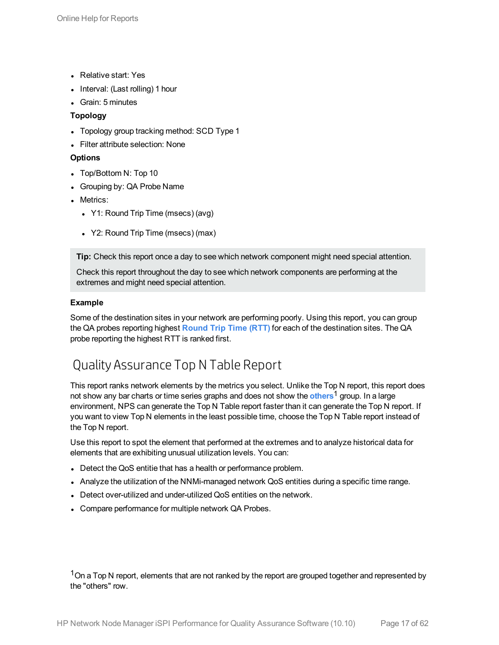- Relative start: Yes
- Interval: (Last rolling) 1 hour
- Grain: 5 minutes

### **Topology**

- Topology group tracking method: SCD Type 1
- Filter attribute selection: None

### **Options**

- Top/Bottom N: Top 10
- Grouping by: QA Probe Name
- Metrics:
	- Y1: Round Trip Time (msecs) (avg)
	- Y2: Round Trip Time (msecs) (max)

**Tip:** Check this report once a day to see which network component might need special attention.

Check this report throughout the day to see which network components are performing at the extremes and might need special attention.

### **Example**

Some of the destination sites in your network are performing poorly. Using this report, you can group the QA probes reporting highest **Round Trip Time (RTT)** for each of the destination sites. The QA probe reporting the highest RTT is ranked first.

## <span id="page-16-0"></span>Quality Assurance Top N Table Report

This report ranks network elements by the metrics you select. Unlike the Top N report, this report does not show any bar charts or time series graphs and does not show the **others**1 group. In a large environment, NPS can generate the Top N Table report faster than it can generate the Top N report. If you want to view Top N elements in the least possible time, choose the Top N Table report instead of the Top N report.

Use this report to spot the element that performed at the extremes and to analyze historical data for elements that are exhibiting unusual utilization levels. You can:

- Detect the QoS entitie that has a health or performance problem.
- Analyze the utilization of the NNMi-managed network QoS entities during a specific time range.
- Detect over-utilized and under-utilized QoS entities on the network.
- Compare performance for multiple network QA Probes.

<sup>1</sup>On a Top N report, elements that are not ranked by the report are grouped together and represented by the "others" row.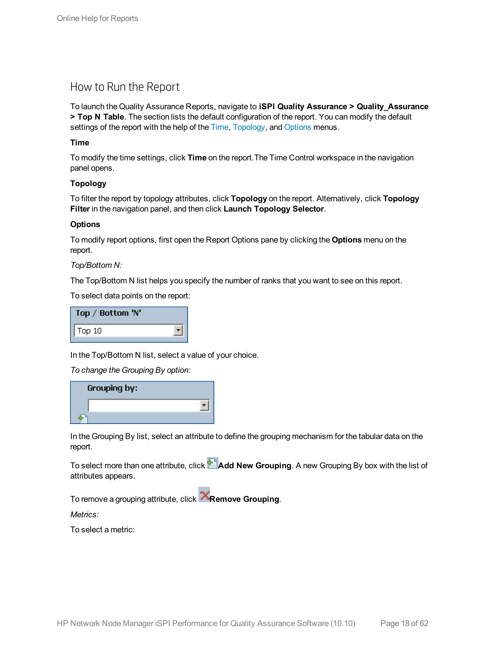### <span id="page-17-0"></span>How to Run the Report

To launch the Quality Assurance Reports, navigate to **iSPI Quality Assurance > Quality\_Assurance > Top N Table**. The section lists the default configuration of the report. You can modify the default settings of the report with the help of the [Time](#page-17-1), [Topology,](#page-17-2) and [Options](#page-17-3) menus.

### <span id="page-17-1"></span>**Time**

To modify the time settings, click **Time** on the report.The Time Control workspace in the navigation panel opens.

### <span id="page-17-2"></span>**Topology**

To filter the report by topology attributes, click **Topology** on the report. Alternatively, click **Topology Filter** in the navigation panel, and then click **Launch Topology Selector**.

### <span id="page-17-3"></span>**Options**

To modify report options, first open the Report Options pane by clicking the **Options** menu on the report.

### *Top/Bottom N:*

The Top/Bottom N list helps you specify the number of ranks that you want to see on this report.

To select data points on the report:

| Top / Bottom 'N' |  |
|------------------|--|
| Top 10           |  |

In the Top/Bottom N list, select a value of your choice.

*To change the Grouping By option:*



In the Grouping By list, select an attribute to define the grouping mechanism for the tabular data on the report.

To select more than one attribute, click **Add New Grouping**. A new Grouping By box with the list of attributes appears.

To remove a grouping attribute, click **Remove Grouping**.

*Metrics:*

To select a metric: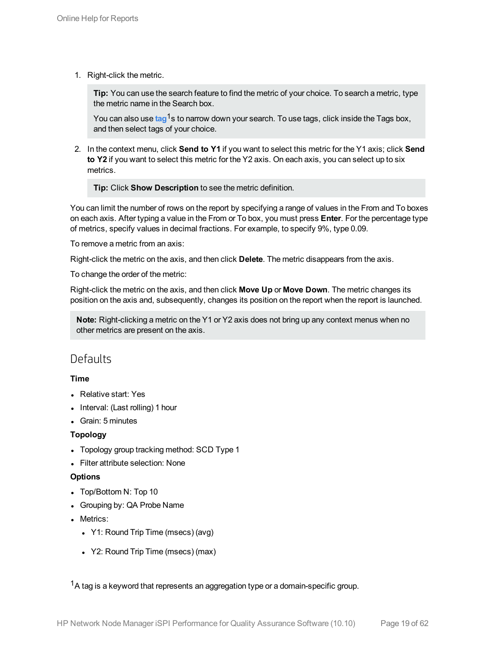1. Right-click the metric.

**Tip:** You can use the search feature to find the metric of your choice. To search a metric, type the metric name in the Search box.

You can also use tag<sup>1</sup>s to narrow down your search. To use tags, click inside the Tags box, and then select tags of your choice.

2. In the context menu, click **Send to Y1** if you want to select this metric for the Y1 axis; click **Send to Y2** if you want to select this metric for the Y2 axis. On each axis, you can select up to six metrics.

**Tip:** Click **Show Description** to see the metric definition.

You can limit the number of rows on the report by specifying a range of values in the From and To boxes on each axis. After typing a value in the From or To box, you must press **Enter**. For the percentage type of metrics, specify values in decimal fractions. For example, to specify 9%, type 0.09.

To remove a metric from an axis:

Right-click the metric on the axis, and then click **Delete**. The metric disappears from the axis.

To change the order of the metric:

Right-click the metric on the axis, and then click **Move Up** or **Move Down**. The metric changes its position on the axis and, subsequently, changes its position on the report when the report is launched.

**Note:** Right-clicking a metric on the Y1 or Y2 axis does not bring up any context menus when no other metrics are present on the axis.

### <span id="page-18-0"></span>**Defaults**

### **Time**

- Relative start: Yes
- Interval: (Last rolling) 1 hour
- Grain: 5 minutes

### **Topology**

- Topology group tracking method: SCD Type 1
- **.** Filter attribute selection: None

### **Options**

- Top/Bottom N: Top 10
- Grouping by: QA Probe Name
- Metrics:
	- Y1: Round Trip Time (msecs) (avg)
	- Y2: Round Trip Time (msecs) (max)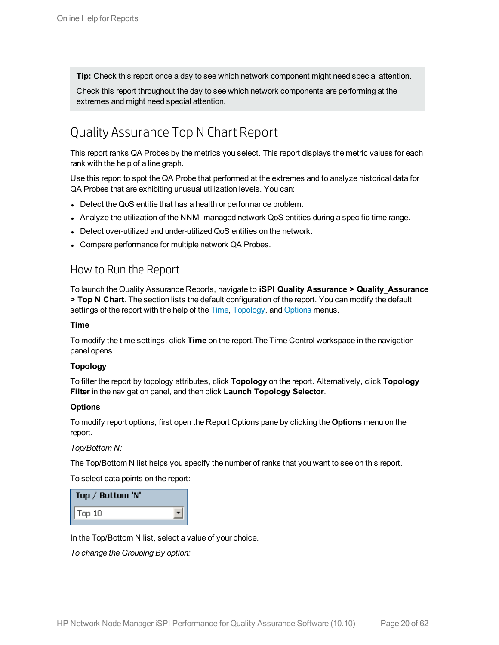**Tip:** Check this report once a day to see which network component might need special attention.

Check this report throughout the day to see which network components are performing at the extremes and might need special attention.

## <span id="page-19-0"></span>Quality Assurance Top N Chart Report

This report ranks QA Probes by the metrics you select. This report displays the metric values for each rank with the help of a line graph.

Use this report to spot the QA Probe that performed at the extremes and to analyze historical data for QA Probes that are exhibiting unusual utilization levels. You can:

- Detect the QoS entitie that has a health or performance problem.
- Analyze the utilization of the NNMi-managed network QoS entities during a specific time range.
- Detect over-utilized and under-utilized QoS entities on the network.
- <span id="page-19-1"></span>• Compare performance for multiple network QA Probes.

### How to Run the Report

To launch the Quality Assurance Reports, navigate to **iSPI Quality Assurance > Quality\_Assurance > Top N Chart**. The section lists the default configuration of the report. You can modify the default settings of the report with the help of the [Time](#page-19-2), [Topology,](#page-19-3) and [Options](#page-19-4) menus.

#### <span id="page-19-2"></span>**Time**

To modify the time settings, click **Time** on the report.The Time Control workspace in the navigation panel opens.

### <span id="page-19-3"></span>**Topology**

To filter the report by topology attributes, click **Topology** on the report. Alternatively, click **Topology Filter** in the navigation panel, and then click **Launch Topology Selector**.

#### <span id="page-19-4"></span>**Options**

To modify report options, first open the Report Options pane by clicking the **Options** menu on the report.

*Top/Bottom N:*

The Top/Bottom N list helps you specify the number of ranks that you want to see on this report.

To select data points on the report:

| Top / Bottom 'N' |  |
|------------------|--|
| $\sqrt{$ Top 10  |  |

In the Top/Bottom N list, select a value of your choice.

*To change the Grouping By option:*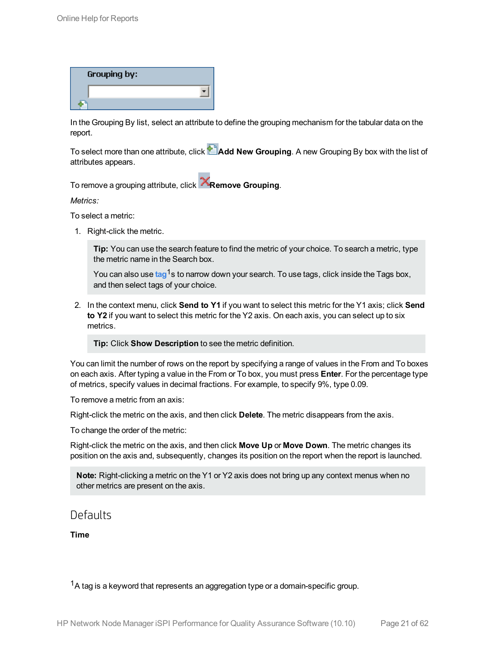| Grouping by: |  |
|--------------|--|
|              |  |
|              |  |

In the Grouping By list, select an attribute to define the grouping mechanism for the tabular data on the report.

To select more than one attribute, click **Add New Grouping**. A new Grouping By box with the list of attributes appears.

To remove a grouping attribute, click **Remove Grouping**.

*Metrics:*

To select a metric:

1. Right-click the metric.

**Tip:** You can use the search feature to find the metric of your choice. To search a metric, type the metric name in the Search box.

You can also use tag<sup>1</sup>s to narrow down your search. To use tags, click inside the Tags box, and then select tags of your choice.

2. In the context menu, click **Send to Y1** if you want to select this metric for the Y1 axis; click **Send to Y2** if you want to select this metric for the Y2 axis. On each axis, you can select up to six metrics.

**Tip:** Click **Show Description** to see the metric definition.

You can limit the number of rows on the report by specifying a range of values in the From and To boxes on each axis. After typing a value in the From or To box, you must press **Enter**. For the percentage type of metrics, specify values in decimal fractions. For example, to specify 9%, type 0.09.

To remove a metric from an axis:

Right-click the metric on the axis, and then click **Delete**. The metric disappears from the axis.

To change the order of the metric:

Right-click the metric on the axis, and then click **Move Up** or **Move Down**. The metric changes its position on the axis and, subsequently, changes its position on the report when the report is launched.

**Note:** Right-clicking a metric on the Y1 or Y2 axis does not bring up any context menus when no other metrics are present on the axis.

### <span id="page-20-0"></span>Defaults

**Time**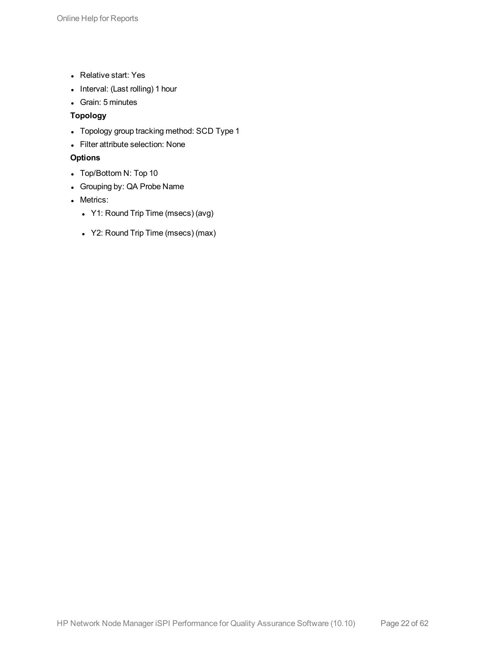- Relative start: Yes
- Interval: (Last rolling) 1 hour
- Grain: 5 minutes

### **Topology**

- Topology group tracking method: SCD Type 1
- Filter attribute selection: None

### **Options**

- Top/Bottom N: Top 10
- Grouping by: QA Probe Name
- Metrics:
	- Y1: Round Trip Time (msecs) (avg)
	- Y2: Round Trip Time (msecs) (max)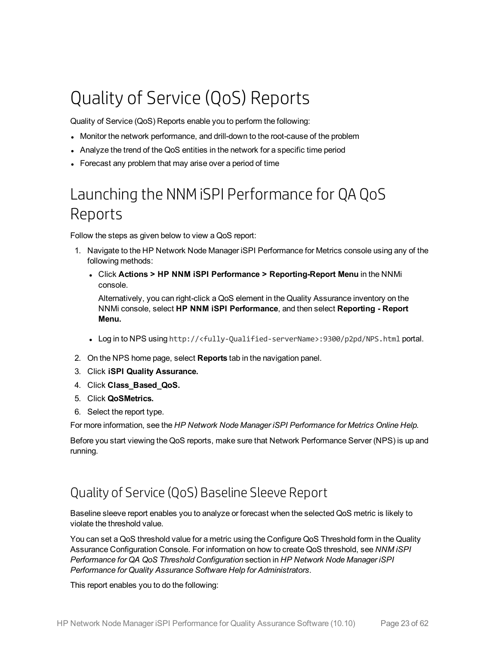# <span id="page-22-0"></span>Quality of Service (QoS) Reports

Quality of Service (QoS) Reports enable you to perform the following:

- Monitor the network performance, and drill-down to the root-cause of the problem
- Analyze the trend of the QoS entities in the network for a specific time period
- <span id="page-22-1"></span>• Forecast any problem that may arise over a period of time

## Launching the NNMiSPI Performance for QA QoS Reports

Follow the steps as given below to view a QoS report:

- 1. Navigate to the HP Network Node Manager iSPI Performance for Metrics console using any of the following methods:
	- <sup>l</sup> Click **Actions > HP NNM iSPI Performance > Reporting-Report Menu** in the NNMi console.

Alternatively, you can right-click a QoS element in the Quality Assurance inventory on the NNMi console, select **HP NNM iSPI Performance**, and then select **Reporting - Report Menu.**

- <sup>l</sup> Log in to NPS using http://<fully-Qualified-serverName>:9300/p2pd/NPS.html portal.
- 2. On the NPS home page, select **Reports** tab in the navigation panel.
- 3. Click **iSPI Quality Assurance.**
- 4. Click **Class\_Based\_QoS.**
- 5. Click **QoSMetrics.**
- 6. Select the report type.

For more information, see the *HP Network Node Manager iSPI Performance for Metrics Online Help.*

Before you start viewing the QoS reports, make sure that Network Performance Server (NPS) is up and running.

## <span id="page-22-2"></span>Quality of Service (QoS) Baseline Sleeve Report

Baseline sleeve report enables you to analyze or forecast when the selected QoS metric is likely to violate the threshold value.

You can set a QoS threshold value for a metric using the Configure QoS Threshold form in the Quality Assurance Configuration Console. For information on how to create QoS threshold, see *NNM iSPI Performance for QA QoS Threshold Configuration* section in *HP Network Node Manager iSPI Performance for Quality Assurance Software Help for Administrators*.

This report enables you to do the following: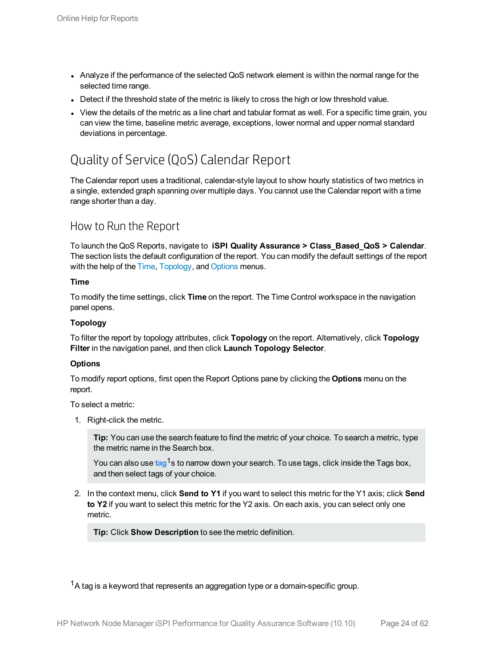- Analyze if the performance of the selected QoS network element is within the normal range for the selected time range.
- Detect if the threshold state of the metric is likely to cross the high or low threshold value.
- View the details of the metric as a line chart and tabular format as well. For a specific time grain, you can view the time, baseline metric average, exceptions, lower normal and upper normal standard deviations in percentage.

## <span id="page-23-0"></span>Quality of Service (QoS) Calendar Report

The Calendar report uses a traditional, calendar-style layout to show hourly statistics of two metrics in a single, extended graph spanning over multiple days. You cannot use the Calendar report with a time range shorter than a day.

### <span id="page-23-1"></span>How to Run the Report

To launch the QoS Reports, navigate to **iSPI Quality Assurance > Class\_Based\_QoS > Calendar**. The section lists the default configuration of the report. You can modify the default settings of the report with the help of the [Time](#page-23-2), [Topology,](#page-23-3) and [Options](#page-23-4) menus.

### <span id="page-23-2"></span>**Time**

To modify the time settings, click **Time** on the report. The Time Control workspace in the navigation panel opens.

### <span id="page-23-3"></span>**Topology**

To filter the report by topology attributes, click **Topology** on the report. Alternatively, click **Topology Filter** in the navigation panel, and then click **Launch Topology Selector**.

### <span id="page-23-4"></span>**Options**

To modify report options, first open the Report Options pane by clicking the **Options** menu on the report.

To select a metric:

1. Right-click the metric.

**Tip:** You can use the search feature to find the metric of your choice. To search a metric, type the metric name in the Search box.

You can also use tag<sup>1</sup>s to narrow down your search. To use tags, click inside the Tags box, and then select tags of your choice.

2. In the context menu, click **Send to Y1** if you want to select this metric for the Y1 axis; click **Send to Y2** if you want to select this metric for the Y2 axis. On each axis, you can select only one metric.

**Tip:** Click **Show Description** to see the metric definition.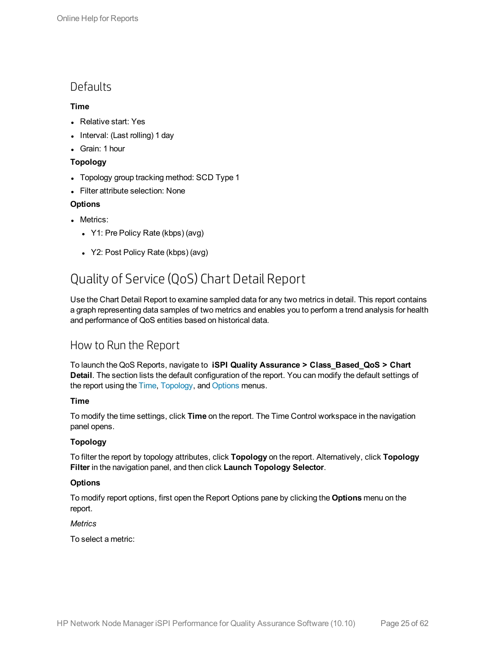### <span id="page-24-0"></span>**Defaults**

### **Time**

- Relative start: Yes
- $\bullet$  Interval: (Last rolling) 1 day
- Grain: 1 hour

### **Topology**

- Topology group tracking method: SCD Type 1
- Filter attribute selection: None

### **Options**

- Metrics:
	- Y1: Pre Policy Rate (kbps) (avg)
	- Y2: Post Policy Rate (kbps) (avg)

## <span id="page-24-1"></span>Quality of Service (QoS) Chart Detail Report

Use the Chart Detail Report to examine sampled data for any two metrics in detail. This report contains a graph representing data samples of two metrics and enables you to perform a trend analysis for health and performance of QoS entities based on historical data.

### <span id="page-24-2"></span>How to Run the Report

To launch the QoS Reports, navigate to **iSPI Quality Assurance > Class\_Based\_QoS > Chart Detail**. The section lists the default configuration of the report. You can modify the default settings of the report using the [Time](#page-24-3), [Topology](#page-24-4), and [Options](#page-24-5) menus.

### <span id="page-24-3"></span>**Time**

To modify the time settings, click **Time** on the report. The Time Control workspace in the navigation panel opens.

### <span id="page-24-4"></span>**Topology**

To filter the report by topology attributes, click **Topology** on the report. Alternatively, click **Topology Filter** in the navigation panel, and then click **Launch Topology Selector**.

### <span id="page-24-5"></span>**Options**

To modify report options, first open the Report Options pane by clicking the **Options** menu on the report.

### *Metrics*

To select a metric: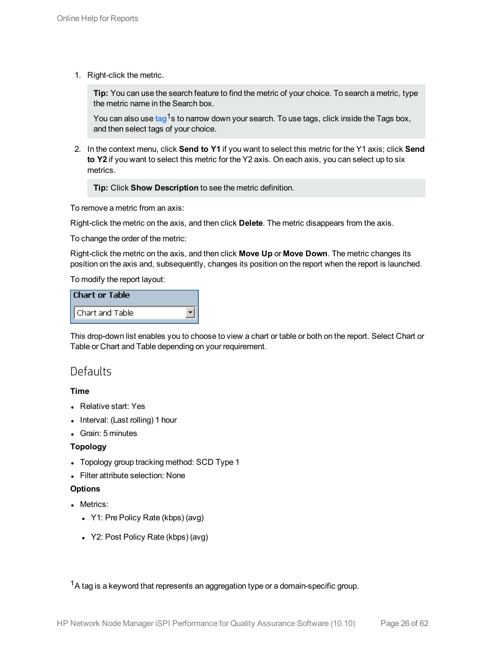1. Right-click the metric.

**Tip:** You can use the search feature to find the metric of your choice. To search a metric, type the metric name in the Search box.

You can also use tag<sup>1</sup>s to narrow down your search. To use tags, click inside the Tags box, and then select tags of your choice.

2. In the context menu, click **Send to Y1** if you want to select this metric for the Y1 axis; click **Send to Y2** if you want to select this metric for the Y2 axis. On each axis, you can select up to six metrics.

**Tip:** Click **Show Description** to see the metric definition.

To remove a metric from an axis:

Right-click the metric on the axis, and then click **Delete**. The metric disappears from the axis.

To change the order of the metric:

Right-click the metric on the axis, and then click **Move Up** or **Move Down**. The metric changes its position on the axis and, subsequently, changes its position on the report when the report is launched.

To modify the report layout:

| <b>Chart or Table</b> |  |
|-----------------------|--|
| Chart and Table       |  |

<span id="page-25-0"></span>This drop-down list enables you to choose to view a chart or table or both on the report. Select Chart or Table or Chart and Table depending on your requirement.

### **Defaults**

### **Time**

- Relative start: Yes
- $\bullet$  Interval: (Last rolling) 1 hour
- Grain: 5 minutes

#### **Topology**

- Topology group tracking method: SCD Type 1
- Filter attribute selection: None

#### **Options**

- Metrics:
	- Y1: Pre Policy Rate (kbps) (avg)
	- Y2: Post Policy Rate (kbps) (avg)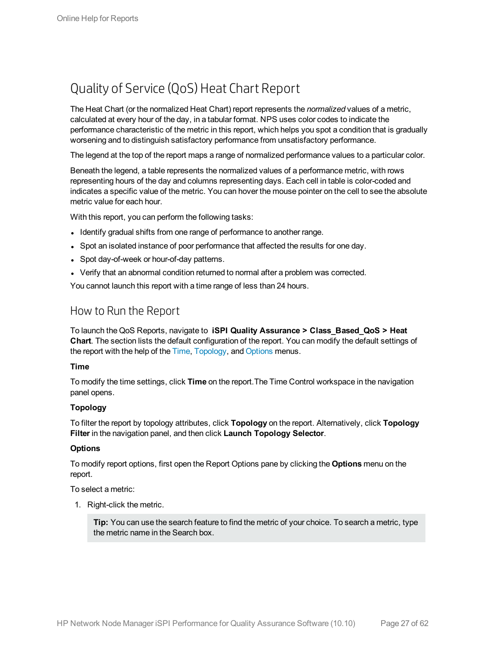## <span id="page-26-0"></span>Quality of Service (QoS) Heat Chart Report

The Heat Chart (or the normalized Heat Chart) report represents the *normalized* values of a metric, calculated at every hour of the day, in a tabular format. NPS uses color codes to indicate the performance characteristic of the metric in this report, which helps you spot a condition that is gradually worsening and to distinguish satisfactory performance from unsatisfactory performance.

The legend at the top of the report maps a range of normalized performance values to a particular color.

Beneath the legend, a table represents the normalized values of a performance metric, with rows representing hours of the day and columns representing days. Each cell in table is color-coded and indicates a specific value of the metric. You can hover the mouse pointer on the cell to see the absolute metric value for each hour.

With this report, you can perform the following tasks:

- Identify gradual shifts from one range of performance to another range.
- Spot an isolated instance of poor performance that affected the results for one day.
- Spot day-of-week or hour-of-day patterns.
- Verify that an abnormal condition returned to normal after a problem was corrected.

<span id="page-26-1"></span>You cannot launch this report with a time range of less than 24 hours.

### How to Run the Report

To launch the QoS Reports, navigate to **iSPI Quality Assurance > Class\_Based\_QoS > Heat Chart**. The section lists the default configuration of the report. You can modify the default settings of the report with the help of the [Time](#page-26-2), [Topology](#page-26-3), and [Options](#page-26-4) menus.

#### <span id="page-26-2"></span>**Time**

To modify the time settings, click **Time** on the report.The Time Control workspace in the navigation panel opens.

### <span id="page-26-3"></span>**Topology**

To filter the report by topology attributes, click **Topology** on the report. Alternatively, click **Topology Filter** in the navigation panel, and then click **Launch Topology Selector**.

#### <span id="page-26-4"></span>**Options**

To modify report options, first open the Report Options pane by clicking the **Options** menu on the report.

To select a metric:

1. Right-click the metric.

**Tip:** You can use the search feature to find the metric of your choice. To search a metric, type the metric name in the Search box.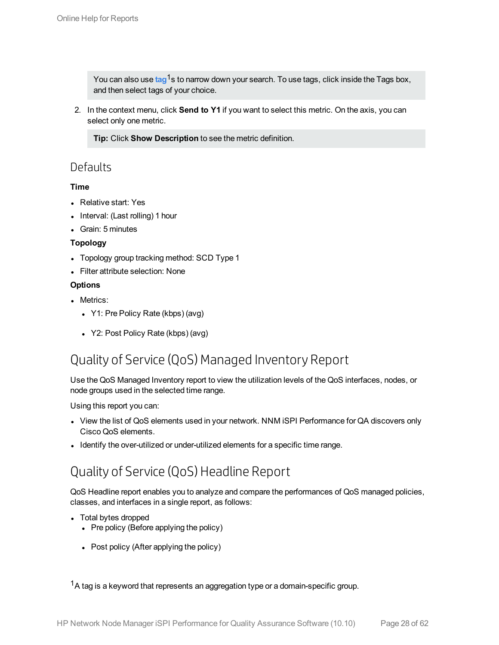You can also use tag<sup>1</sup>s to narrow down your search. To use tags, click inside the Tags box, and then select tags of your choice.

2. In the context menu, click **Send to Y1** if you want to select this metric. On the axis, you can select only one metric.

**Tip:** Click **Show Description** to see the metric definition.

### <span id="page-27-0"></span>**Defaults**

### **Time**

- Relative start: Yes
- Interval: (Last rolling) 1 hour
- Grain: 5 minutes

### **Topology**

- Topology group tracking method: SCD Type 1
- Filter attribute selection: None

### **Options**

- Metrics:
	- Y1: Pre Policy Rate (kbps) (avg)
	- Y2: Post Policy Rate (kbps) (avg)

## <span id="page-27-1"></span>Quality of Service (QoS) Managed Inventory Report

Use the QoS Managed Inventory report to view the utilization levels of the QoS interfaces, nodes, or node groups used in the selected time range.

Using this report you can:

- View the list of QoS elements used in your network. NNM iSPI Performance for QA discovers only Cisco QoS elements.
- <span id="page-27-2"></span>• Identify the over-utilized or under-utilized elements for a specific time range.

## Quality of Service (QoS) Headline Report

QoS Headline report enables you to analyze and compare the performances of QoS managed policies, classes, and interfaces in a single report, as follows:

- Total bytes dropped
	- $\bullet$  Pre policy (Before applying the policy)
	- Post policy (After applying the policy)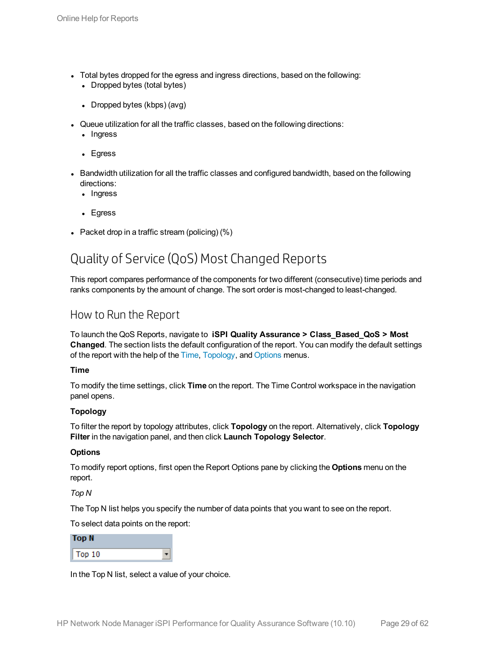- Total bytes dropped for the egress and ingress directions, based on the following:
	- Dropped bytes (total bytes)
	- Dropped bytes (kbps) (avg)
- Queue utilization for all the traffic classes, based on the following directions:
	- Ingress
	- Egress
- Bandwidth utilization for all the traffic classes and configured bandwidth, based on the following directions:
	- Ingress
	- Egress
- <span id="page-28-0"></span>- Packet drop in a traffic stream (policing)  $(\%)$

## Quality of Service (QoS) Most Changed Reports

This report compares performance of the components for two different (consecutive) time periods and ranks components by the amount of change. The sort order is most-changed to least-changed.

### <span id="page-28-1"></span>How to Run the Report

To launch the QoS Reports, navigate to **iSPI Quality Assurance > Class\_Based\_QoS > Most Changed**. The section lists the default configuration of the report. You can modify the default settings of the report with the help of the [Time,](#page-28-2) [Topology,](#page-28-3) and [Options](#page-28-4) menus.

### <span id="page-28-2"></span>**Time**

To modify the time settings, click **Time** on the report. The Time Control workspace in the navigation panel opens.

### <span id="page-28-3"></span>**Topology**

To filter the report by topology attributes, click **Topology** on the report. Alternatively, click **Topology Filter** in the navigation panel, and then click **Launch Topology Selector**.

### <span id="page-28-4"></span>**Options**

To modify report options, first open the Report Options pane by clicking the **Options** menu on the report.

*Top N*

The Top N list helps you specify the number of data points that you want to see on the report.

To select data points on the report:

| Top N  |  |
|--------|--|
| Top 10 |  |

In the Top N list, select a value of your choice.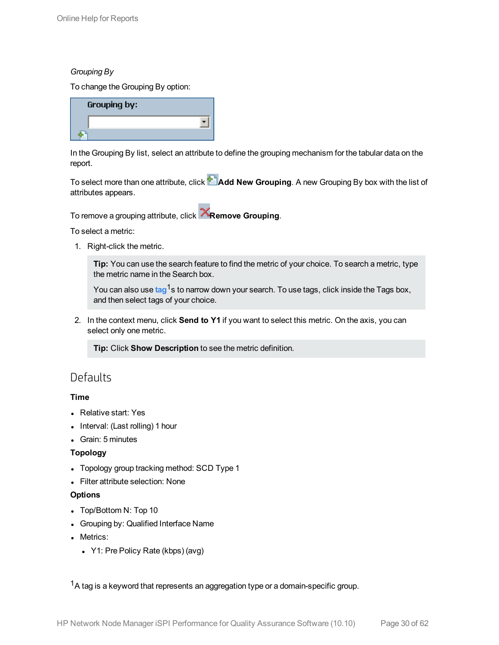### *Grouping By*

To change the Grouping By option:

| Grouping by: |  |
|--------------|--|
|              |  |
|              |  |

In the Grouping By list, select an attribute to define the grouping mechanism for the tabular data on the report.

To select more than one attribute, click **Add New Grouping**. A new Grouping By box with the list of attributes appears.

To remove a grouping attribute, click **Remove Grouping**.

To select a metric:

1. Right-click the metric.

**Tip:** You can use the search feature to find the metric of your choice. To search a metric, type the metric name in the Search box.

You can also use tag<sup>1</sup>s to narrow down your search. To use tags, click inside the Tags box, and then select tags of your choice.

2. In the context menu, click **Send to Y1** if you want to select this metric. On the axis, you can select only one metric.

**Tip:** Click **Show Description** to see the metric definition.

### <span id="page-29-0"></span>**Defaults**

### **Time**

- Relative start: Yes
- Interval: (Last rolling) 1 hour
- Grain: 5 minutes

### **Topology**

- Topology group tracking method: SCD Type 1
- Filter attribute selection: None

### **Options**

- Top/Bottom N: Top 10
- Grouping by: Qualified Interface Name
- Metrics:
	- Y1: Pre Policy Rate (kbps) (avg)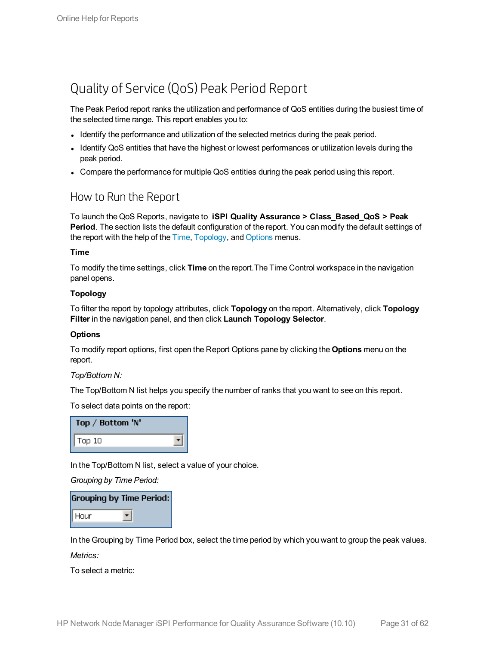## <span id="page-30-0"></span>Quality of Service (QoS) Peak Period Report

The Peak Period report ranks the utilization and performance of QoS entities during the busiest time of the selected time range. This report enables you to:

- Identify the performance and utilization of the selected metrics during the peak period.
- Identify QoS entities that have the highest or lowest performances or utilization levels during the peak period.
- <span id="page-30-1"></span>• Compare the performance for multiple QoS entities during the peak period using this report.

### How to Run the Report

To launch the QoS Reports, navigate to **iSPI Quality Assurance > Class\_Based\_QoS > Peak Period**. The section lists the default configuration of the report. You can modify the default settings of the report with the help of the [Time](#page-30-2), [Topology](#page-30-3), and [Options](#page-30-4) menus.

### <span id="page-30-2"></span>**Time**

To modify the time settings, click **Time** on the report.The Time Control workspace in the navigation panel opens.

### <span id="page-30-3"></span>**Topology**

To filter the report by topology attributes, click **Topology** on the report. Alternatively, click **Topology Filter** in the navigation panel, and then click **Launch Topology Selector**.

### <span id="page-30-4"></span>**Options**

To modify report options, first open the Report Options pane by clicking the **Options** menu on the report.

*Top/Bottom N:*

The Top/Bottom N list helps you specify the number of ranks that you want to see on this report.

To select data points on the report:

| Top / Bottom 'N'       |  |
|------------------------|--|
| $\sqrt{\text{Top} 10}$ |  |

In the Top/Bottom N list, select a value of your choice.

*Grouping by Time Period:*

|                  | <b>Grouping by Time Period:</b> |
|------------------|---------------------------------|
| $\parallel$ Hour |                                 |

In the Grouping by Time Period box, select the time period by which you want to group the peak values.

*Metrics:*

To select a metric: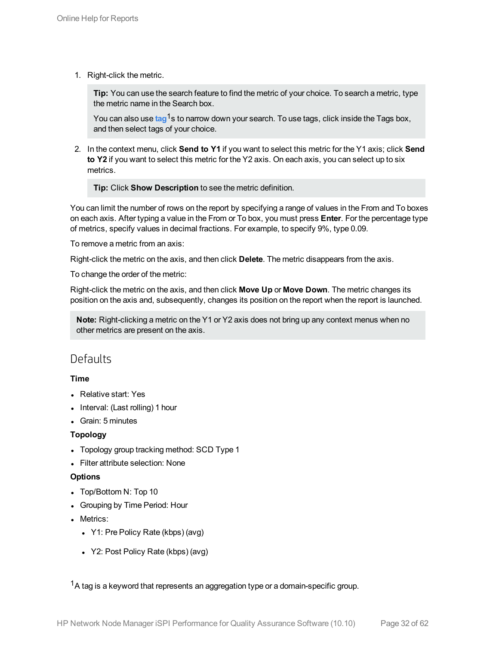1. Right-click the metric.

**Tip:** You can use the search feature to find the metric of your choice. To search a metric, type the metric name in the Search box.

You can also use tag<sup>1</sup>s to narrow down your search. To use tags, click inside the Tags box, and then select tags of your choice.

2. In the context menu, click **Send to Y1** if you want to select this metric for the Y1 axis; click **Send to Y2** if you want to select this metric for the Y2 axis. On each axis, you can select up to six metrics.

**Tip:** Click **Show Description** to see the metric definition.

You can limit the number of rows on the report by specifying a range of values in the From and To boxes on each axis. After typing a value in the From or To box, you must press **Enter**. For the percentage type of metrics, specify values in decimal fractions. For example, to specify 9%, type 0.09.

To remove a metric from an axis:

Right-click the metric on the axis, and then click **Delete**. The metric disappears from the axis.

To change the order of the metric:

Right-click the metric on the axis, and then click **Move Up** or **Move Down**. The metric changes its position on the axis and, subsequently, changes its position on the report when the report is launched.

**Note:** Right-clicking a metric on the Y1 or Y2 axis does not bring up any context menus when no other metrics are present on the axis.

### <span id="page-31-0"></span>**Defaults**

### **Time**

- Relative start: Yes
- Interval: (Last rolling) 1 hour
- Grain: 5 minutes

### **Topology**

- Topology group tracking method: SCD Type 1
- **.** Filter attribute selection: None

### **Options**

- Top/Bottom N: Top 10
- Grouping by Time Period: Hour
- Metrics:
	- Y1: Pre Policy Rate (kbps) (avg)
	- Y2: Post Policy Rate (kbps) (avg)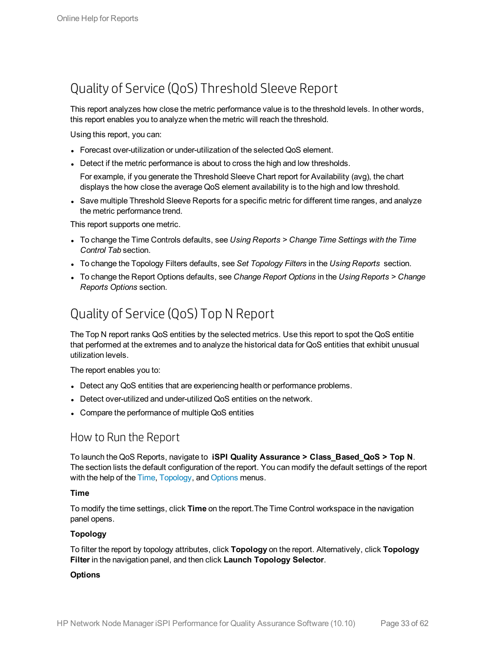## <span id="page-32-0"></span>Quality of Service (QoS) Threshold Sleeve Report

This report analyzes how close the metric performance value is to the threshold levels. In other words, this report enables you to analyze when the metric will reach the threshold.

Using this report, you can:

- Forecast over-utilization or under-utilization of the selected QoS element.
- Detect if the metric performance is about to cross the high and low thresholds.

For example, if you generate the Threshold Sleeve Chart report for Availability (avg), the chart displays the how close the average QoS element availability is to the high and low threshold.

• Save multiple Threshold Sleeve Reports for a specific metric for different time ranges, and analyze the metric performance trend.

This report supports one metric.

- <sup>l</sup> To change the Time Controls defaults, see *Using Reports > Change Time Settings with the Time Control Tab* section.
- <sup>l</sup> To change the Topology Filters defaults, see *Set Topology Filters* in the *Using Reports* section.
- <span id="page-32-1"></span><sup>l</sup> To change the Report Options defaults, see *Change Report Options* in the *Using Reports > Change Reports Options* section.

## Quality of Service (QoS) Top N Report

The Top N report ranks QoS entities by the selected metrics. Use this report to spot the QoS entitie that performed at the extremes and to analyze the historical data for QoS entities that exhibit unusual utilization levels.

The report enables you to:

- Detect any QoS entities that are experiencing health or performance problems.
- Detect over-utilized and under-utilized QoS entities on the network.
- <span id="page-32-2"></span>• Compare the performance of multiple QoS entities

### How to Run the Report

To launch the QoS Reports, navigate to **iSPI Quality Assurance > Class\_Based\_QoS > Top N**. The section lists the default configuration of the report. You can modify the default settings of the report with the help of the [Time](#page-32-3), [Topology,](#page-32-4) and [Options](#page-32-5) menus.

### <span id="page-32-3"></span>**Time**

To modify the time settings, click **Time** on the report.The Time Control workspace in the navigation panel opens.

### <span id="page-32-4"></span>**Topology**

To filter the report by topology attributes, click **Topology** on the report. Alternatively, click **Topology Filter** in the navigation panel, and then click **Launch Topology Selector**.

### <span id="page-32-5"></span>**Options**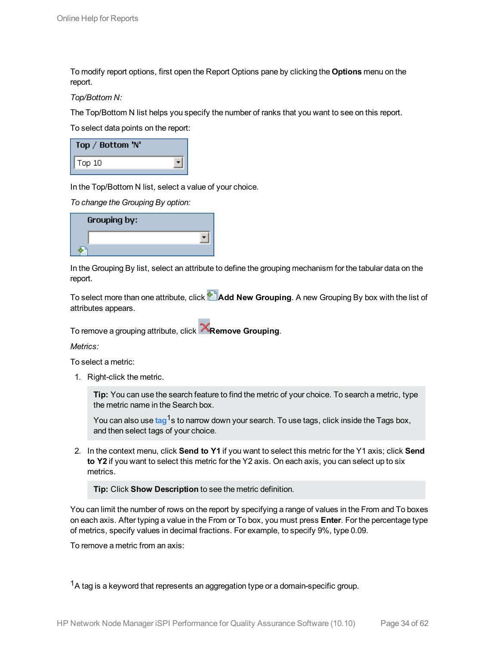To modify report options, first open the Report Options pane by clicking the **Options** menu on the report.

*Top/Bottom N:*

The Top/Bottom N list helps you specify the number of ranks that you want to see on this report.

To select data points on the report:

| Top / Bottom 'N' |  |
|------------------|--|
| Top 10           |  |

In the Top/Bottom N list, select a value of your choice.

*To change the Grouping By option:*

| Grouping by: |  |
|--------------|--|
|              |  |
|              |  |

In the Grouping By list, select an attribute to define the grouping mechanism for the tabular data on the report.

To select more than one attribute, click **Add New Grouping**. A new Grouping By box with the list of attributes appears.

To remove a grouping attribute, click **Remove Grouping**.

*Metrics:*

To select a metric:

1. Right-click the metric.

**Tip:** You can use the search feature to find the metric of your choice. To search a metric, type the metric name in the Search box.

You can also use tag<sup>1</sup>s to narrow down your search. To use tags, click inside the Tags box, and then select tags of your choice.

2. In the context menu, click **Send to Y1** if you want to select this metric for the Y1 axis; click **Send to Y2** if you want to select this metric for the Y2 axis. On each axis, you can select up to six metrics.

**Tip:** Click **Show Description** to see the metric definition.

You can limit the number of rows on the report by specifying a range of values in the From and To boxes on each axis. After typing a value in the From or To box, you must press **Enter**. For the percentage type of metrics, specify values in decimal fractions. For example, to specify 9%, type 0.09.

To remove a metric from an axis: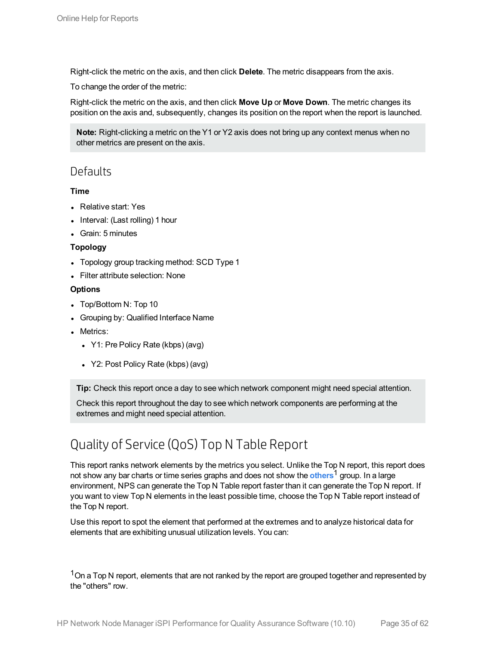Right-click the metric on the axis, and then click **Delete**. The metric disappears from the axis.

To change the order of the metric:

Right-click the metric on the axis, and then click **Move Up** or **Move Down**. The metric changes its position on the axis and, subsequently, changes its position on the report when the report is launched.

**Note:** Right-clicking a metric on the Y1 or Y2 axis does not bring up any context menus when no other metrics are present on the axis.

### <span id="page-34-0"></span>**Defaults**

### **Time**

- Relative start: Yes
- Interval: (Last rolling) 1 hour
- Grain: 5 minutes

### **Topology**

- Topology group tracking method: SCD Type 1
- Filter attribute selection: None

### **Options**

- Top/Bottom N: Top 10
- Grouping by: Qualified Interface Name
- Metrics:
	- Y1: Pre Policy Rate (kbps) (avg)
	- Y2: Post Policy Rate (kbps) (avg)

**Tip:** Check this report once a day to see which network component might need special attention.

Check this report throughout the day to see which network components are performing at the extremes and might need special attention.

## <span id="page-34-1"></span>Quality of Service (QoS) Top N Table Report

This report ranks network elements by the metrics you select. Unlike the Top N report, this report does not show any bar charts or time series graphs and does not show the **others**1 group. In a large environment, NPS can generate the Top N Table report faster than it can generate the Top N report. If you want to view Top N elements in the least possible time, choose the Top N Table report instead of the Top N report.

Use this report to spot the element that performed at the extremes and to analyze historical data for elements that are exhibiting unusual utilization levels. You can:

<sup>1</sup>On a Top N report, elements that are not ranked by the report are grouped together and represented by the "others" row.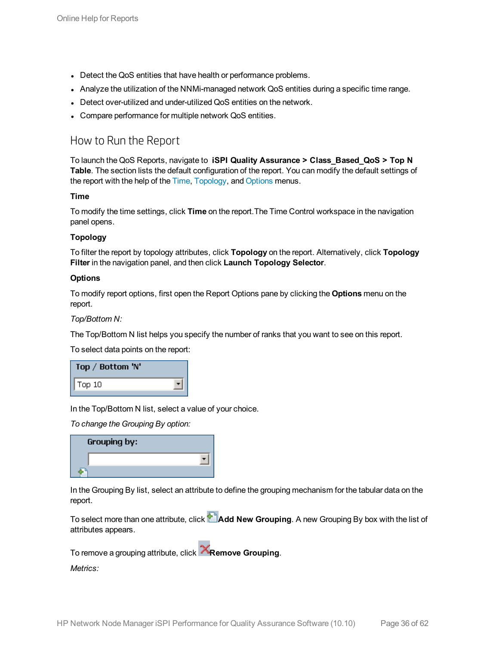- Detect the QoS entities that have health or performance problems.
- Analyze the utilization of the NNMi-managed network QoS entities during a specific time range.
- Detect over-utilized and under-utilized QoS entities on the network.
- <span id="page-35-0"></span>• Compare performance for multiple network QoS entities.

### How to Run the Report

To launch the QoS Reports, navigate to **iSPI Quality Assurance > Class\_Based\_QoS > Top N Table**. The section lists the default configuration of the report. You can modify the default settings of the report with the help of the [Time](#page-35-1), [Topology](#page-35-2), and [Options](#page-35-3) menus.

### <span id="page-35-1"></span>**Time**

To modify the time settings, click **Time** on the report.The Time Control workspace in the navigation panel opens.

### <span id="page-35-2"></span>**Topology**

To filter the report by topology attributes, click **Topology** on the report. Alternatively, click **Topology Filter** in the navigation panel, and then click **Launch Topology Selector**.

### <span id="page-35-3"></span>**Options**

To modify report options, first open the Report Options pane by clicking the **Options** menu on the report.

### *Top/Bottom N:*

The Top/Bottom N list helps you specify the number of ranks that you want to see on this report.

To select data points on the report:

| Top / Bottom 'N' |  |
|------------------|--|
| Top 10           |  |

In the Top/Bottom N list, select a value of your choice.

*To change the Grouping By option:*

| <b>Grouping by:</b> |  |
|---------------------|--|
|                     |  |
|                     |  |

In the Grouping By list, select an attribute to define the grouping mechanism for the tabular data on the report.

To select more than one attribute, click **Add New Grouping**. A new Grouping By box with the list of attributes appears.

To remove a grouping attribute, click **Remove Grouping**.

*Metrics:*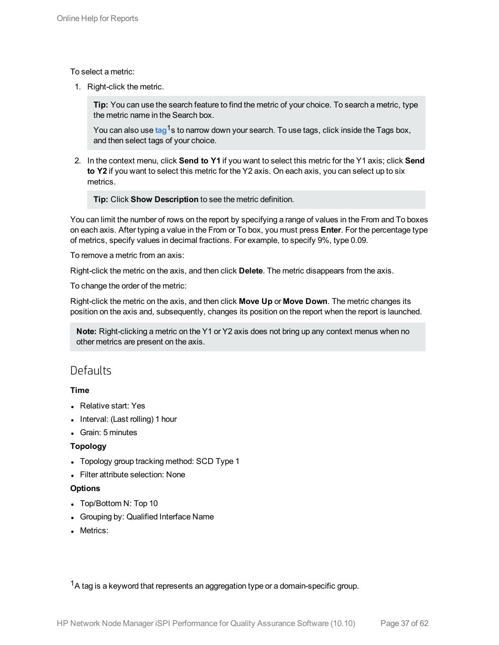To select a metric:

1. Right-click the metric.

**Tip:** You can use the search feature to find the metric of your choice. To search a metric, type the metric name in the Search box.

You can also use tag<sup>1</sup>s to narrow down your search. To use tags, click inside the Tags box, and then select tags of your choice.

2. In the context menu, click **Send to Y1** if you want to select this metric for the Y1 axis; click **Send to Y2** if you want to select this metric for the Y2 axis. On each axis, you can select up to six metrics.

**Tip:** Click **Show Description** to see the metric definition.

You can limit the number of rows on the report by specifying a range of values in the From and To boxes on each axis. After typing a value in the From or To box, you must press **Enter**. For the percentage type of metrics, specify values in decimal fractions. For example, to specify 9%, type 0.09.

To remove a metric from an axis:

Right-click the metric on the axis, and then click **Delete**. The metric disappears from the axis.

To change the order of the metric:

Right-click the metric on the axis, and then click **Move Up** or **Move Down**. The metric changes its position on the axis and, subsequently, changes its position on the report when the report is launched.

**Note:** Right-clicking a metric on the Y1 or Y2 axis does not bring up any context menus when no other metrics are present on the axis.

### <span id="page-36-0"></span>**Defaults**

### **Time**

- Relative start: Yes
- $\bullet$  Interval: (Last rolling) 1 hour
- Grain: 5 minutes

### **Topology**

- Topology group tracking method: SCD Type 1
- Filter attribute selection: None

### **Options**

- Top/Bottom N: Top 10
- Grouping by: Qualified Interface Name
- Metrics: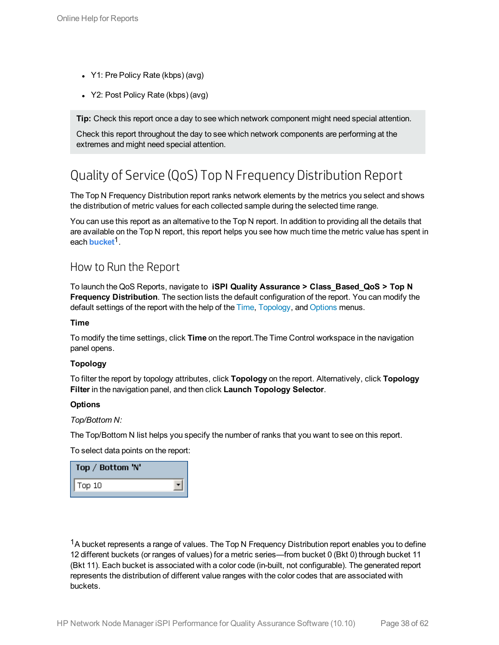- Y1: Pre Policy Rate (kbps) (avg)
- Y2: Post Policy Rate (kbps) (avg)

**Tip:** Check this report once a day to see which network component might need special attention.

Check this report throughout the day to see which network components are performing at the extremes and might need special attention.

## <span id="page-37-0"></span>Quality of Service (QoS) Top N Frequency Distribution Report

The Top N Frequency Distribution report ranks network elements by the metrics you select and shows the distribution of metric values for each collected sample during the selected time range.

You can use this report as an alternative to the Top N report. In addition to providing all the details that are available on the Top N report, this report helps you see how much time the metric value has spent in each **bucket**1.

### <span id="page-37-1"></span>How to Run the Report

To launch the QoS Reports, navigate to **iSPI Quality Assurance > Class\_Based\_QoS > Top N Frequency Distribution**. The section lists the default configuration of the report. You can modify the default settings of the report with the help of the [Time](#page-37-2), [Topology](#page-37-3), and [Options](#page-37-4) menus.

### <span id="page-37-2"></span>**Time**

To modify the time settings, click **Time** on the report.The Time Control workspace in the navigation panel opens.

### <span id="page-37-3"></span>**Topology**

To filter the report by topology attributes, click **Topology** on the report. Alternatively, click **Topology Filter** in the navigation panel, and then click **Launch Topology Selector**.

### <span id="page-37-4"></span>**Options**

*Top/Bottom N:*

The Top/Bottom N list helps you specify the number of ranks that you want to see on this report.

To select data points on the report:

| Top / Bottom 'N' |  |
|------------------|--|
| $\sqrt{$ Top 10  |  |

 $1A$  bucket represents a range of values. The Top N Frequency Distribution report enables you to define 12 different buckets (or ranges of values) for a metric series—from bucket 0 (Bkt 0) through bucket 11 (Bkt 11). Each bucket is associated with a color code (in-built, not configurable). The generated report represents the distribution of different value ranges with the color codes that are associated with buckets.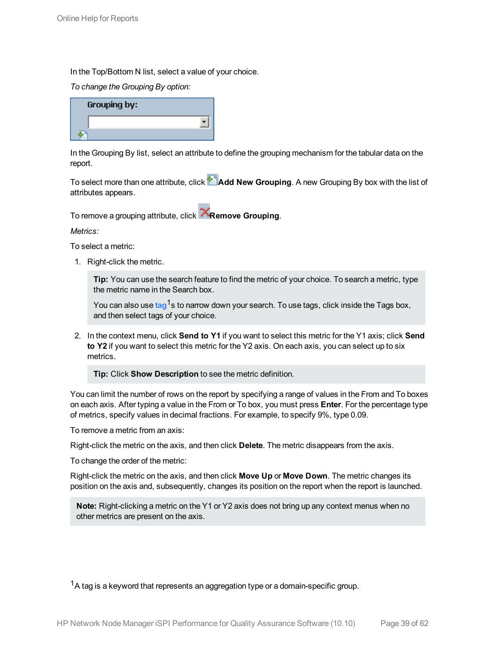In the Top/Bottom N list, select a value of your choice.

*To change the Grouping By option:*

| <b>Grouping by:</b> |  |
|---------------------|--|
|                     |  |
|                     |  |

In the Grouping By list, select an attribute to define the grouping mechanism for the tabular data on the report.

To select more than one attribute, click **Add New Grouping**. A new Grouping By box with the list of attributes appears.

To remove a grouping attribute, click **Remove Grouping**.

*Metrics:*

To select a metric:

1. Right-click the metric.

**Tip:** You can use the search feature to find the metric of your choice. To search a metric, type the metric name in the Search box.

You can also use tag<sup>1</sup>s to narrow down your search. To use tags, click inside the Tags box, and then select tags of your choice.

2. In the context menu, click **Send to Y1** if you want to select this metric for the Y1 axis; click **Send to Y2** if you want to select this metric for the Y2 axis. On each axis, you can select up to six metrics.

**Tip:** Click **Show Description** to see the metric definition.

You can limit the number of rows on the report by specifying a range of values in the From and To boxes on each axis. After typing a value in the From or To box, you must press **Enter**. For the percentage type of metrics, specify values in decimal fractions. For example, to specify 9%, type 0.09.

To remove a metric from an axis:

Right-click the metric on the axis, and then click **Delete**. The metric disappears from the axis.

To change the order of the metric:

Right-click the metric on the axis, and then click **Move Up** or **Move Down**. The metric changes its position on the axis and, subsequently, changes its position on the report when the report is launched.

**Note:** Right-clicking a metric on the Y1 or Y2 axis does not bring up any context menus when no other metrics are present on the axis.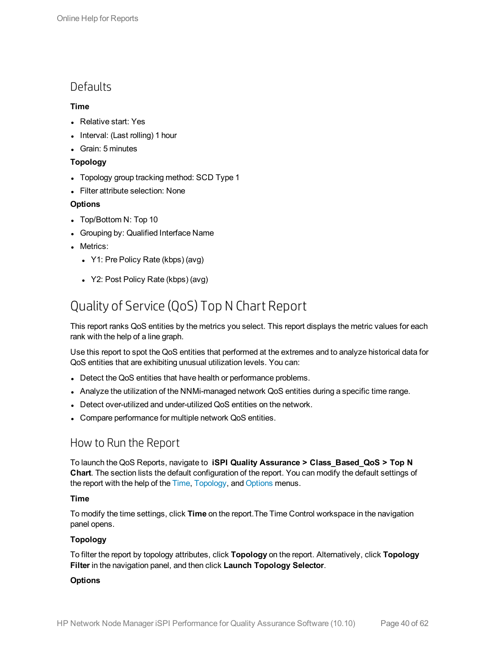### <span id="page-39-0"></span>**Defaults**

### **Time**

- Relative start: Yes
- $\bullet$  Interval: (Last rolling) 1 hour
- Grain: 5 minutes

### **Topology**

- Topology group tracking method: SCD Type 1
- Filter attribute selection: None

### **Options**

- Top/Bottom N: Top 10
- Grouping by: Qualified Interface Name
- Metrics:
	- Y1: Pre Policy Rate (kbps) (avg)
	- Y2: Post Policy Rate (kbps) (avg)

## <span id="page-39-1"></span>Quality of Service (QoS) Top N Chart Report

This report ranks QoS entities by the metrics you select. This report displays the metric values for each rank with the help of a line graph.

Use this report to spot the QoS entities that performed at the extremes and to analyze historical data for QoS entities that are exhibiting unusual utilization levels. You can:

- Detect the QoS entities that have health or performance problems.
- Analyze the utilization of the NNMi-managed network QoS entities during a specific time range.
- Detect over-utilized and under-utilized QoS entities on the network.
- <span id="page-39-2"></span>• Compare performance for multiple network QoS entities.

### How to Run the Report

To launch the QoS Reports, navigate to **iSPI Quality Assurance > Class\_Based\_QoS > Top N Chart**. The section lists the default configuration of the report. You can modify the default settings of the report with the help of the [Time](#page-39-3), [Topology](#page-39-4), and [Options](#page-39-5) menus.

### <span id="page-39-3"></span>**Time**

To modify the time settings, click **Time** on the report.The Time Control workspace in the navigation panel opens.

### <span id="page-39-4"></span>**Topology**

To filter the report by topology attributes, click **Topology** on the report. Alternatively, click **Topology Filter** in the navigation panel, and then click **Launch Topology Selector**.

### <span id="page-39-5"></span>**Options**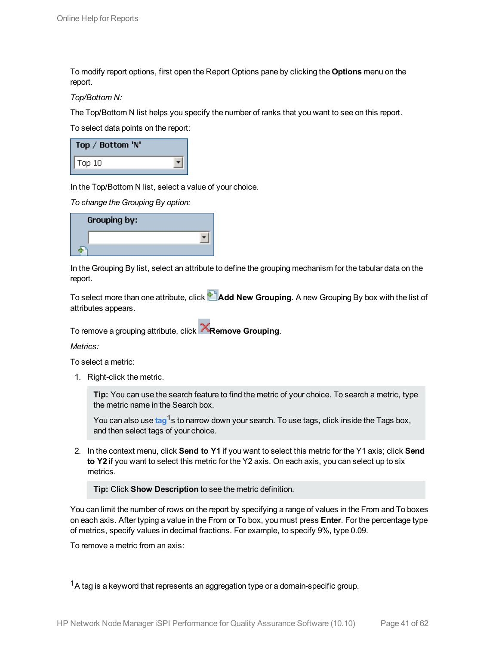To modify report options, first open the Report Options pane by clicking the **Options** menu on the report.

*Top/Bottom N:*

The Top/Bottom N list helps you specify the number of ranks that you want to see on this report.

To select data points on the report:

| Top / Bottom 'N' |  |
|------------------|--|
| $ $ Top 10       |  |

In the Top/Bottom N list, select a value of your choice.

*To change the Grouping By option:*

| Grouping by: |  |
|--------------|--|
|              |  |
|              |  |

In the Grouping By list, select an attribute to define the grouping mechanism for the tabular data on the report.

To select more than one attribute, click **Add New Grouping**. A new Grouping By box with the list of attributes appears.

To remove a grouping attribute, click **Remove Grouping**.

*Metrics:*

To select a metric:

1. Right-click the metric.

**Tip:** You can use the search feature to find the metric of your choice. To search a metric, type the metric name in the Search box.

You can also use tag<sup>1</sup>s to narrow down your search. To use tags, click inside the Tags box, and then select tags of your choice.

2. In the context menu, click **Send to Y1** if you want to select this metric for the Y1 axis; click **Send to Y2** if you want to select this metric for the Y2 axis. On each axis, you can select up to six metrics.

**Tip:** Click **Show Description** to see the metric definition.

You can limit the number of rows on the report by specifying a range of values in the From and To boxes on each axis. After typing a value in the From or To box, you must press **Enter**. For the percentage type of metrics, specify values in decimal fractions. For example, to specify 9%, type 0.09.

To remove a metric from an axis: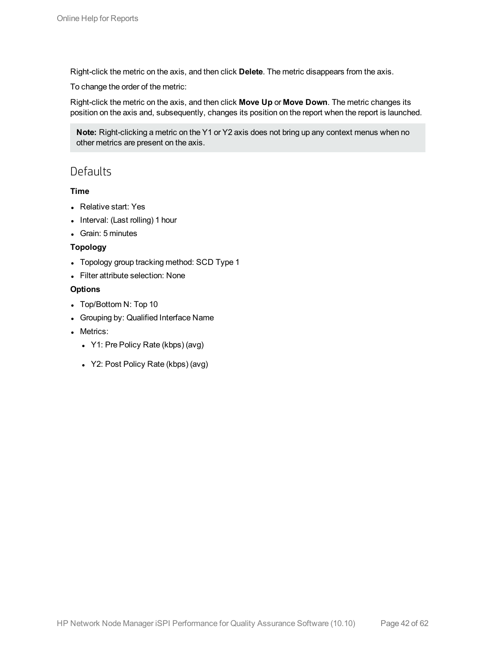Right-click the metric on the axis, and then click **Delete**. The metric disappears from the axis.

To change the order of the metric:

Right-click the metric on the axis, and then click **Move Up** or **Move Down**. The metric changes its position on the axis and, subsequently, changes its position on the report when the report is launched.

**Note:** Right-clicking a metric on the Y1 or Y2 axis does not bring up any context menus when no other metrics are present on the axis.

### <span id="page-41-0"></span>**Defaults**

### **Time**

- Relative start: Yes
- Interval: (Last rolling) 1 hour
- Grain: 5 minutes

### **Topology**

- Topology group tracking method: SCD Type 1
- Filter attribute selection: None

### **Options**

- Top/Bottom N: Top 10
- Grouping by: Qualified Interface Name
- Metrics:
	- Y1: Pre Policy Rate (kbps) (avg)
	- Y2: Post Policy Rate (kbps) (avg)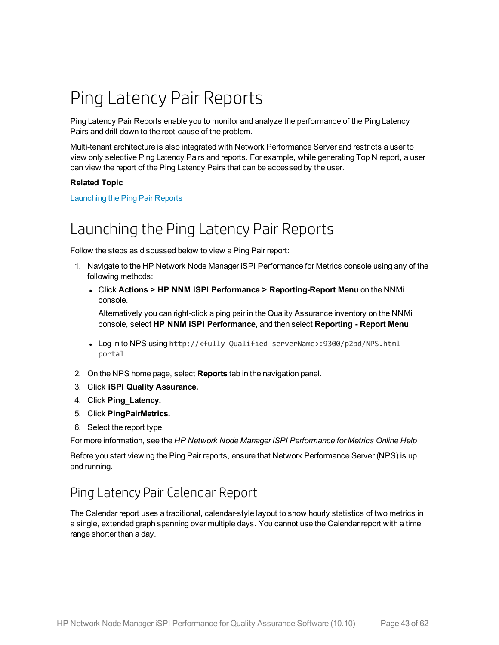# <span id="page-42-0"></span>Ping Latency Pair Reports

Ping Latency Pair Reports enable you to monitor and analyze the performance of the Ping Latency Pairs and drill-down to the root-cause of the problem.

Multi-tenant architecture is also integrated with Network Performance Server and restricts a user to view only selective Ping Latency Pairs and reports. For example, while generating Top N report, a user can view the report of the Ping Latency Pairs that can be accessed by the user.

### **Related Topic**

<span id="page-42-1"></span>[Launching](#page-42-1) the Ping Pair Reports

## Launching the Ping Latency Pair Reports

Follow the steps as discussed below to view a Ping Pair report:

- 1. Navigate to the HP Network Node Manager iSPI Performance for Metrics console using any of the following methods:
	- <sup>l</sup> Click **Actions > HP NNM iSPI Performance > Reporting-Report Menu** on the NNMi console.

Alternatively you can right-click a ping pair in the Quality Assurance inventory on the NNMi console, select **HP NNM iSPI Performance**, and then select **Reporting - Report Menu**.

- Log in to NPS using http://<fully-Qualified-serverName>:9300/p2pd/NPS.html portal.
- 2. On the NPS home page, select **Reports** tab in the navigation panel.
- 3. Click **iSPI Quality Assurance.**
- 4. Click **Ping\_Latency.**
- 5. Click **PingPairMetrics.**
- 6. Select the report type.

For more information, see the *HP Network Node Manager iSPI Performance for Metrics Online Help*

<span id="page-42-2"></span>Before you start viewing the Ping Pair reports, ensure that Network Performance Server (NPS) is up and running.

## Ping Latency Pair Calendar Report

The Calendar report uses a traditional, calendar-style layout to show hourly statistics of two metrics in a single, extended graph spanning over multiple days. You cannot use the Calendar report with a time range shorter than a day.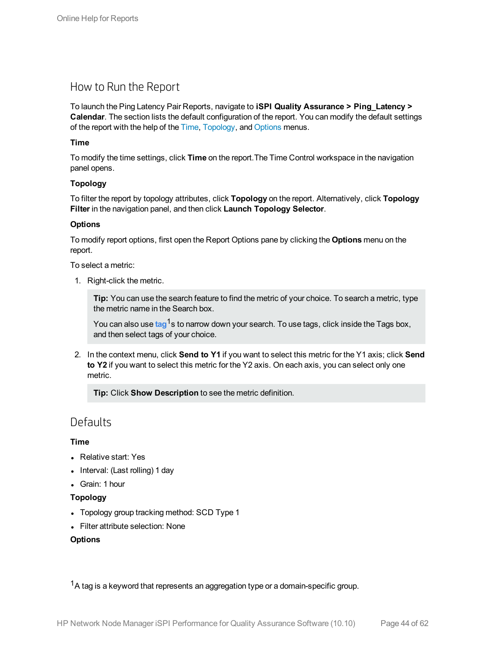### <span id="page-43-0"></span>How to Run the Report

To launch the Ping Latency Pair Reports, navigate to **iSPI Quality Assurance > Ping\_Latency > Calendar**. The section lists the default configuration of the report. You can modify the default settings of the report with the help of the [Time,](#page-43-2) [Topology,](#page-43-3) and [Options](#page-43-4) menus.

### <span id="page-43-2"></span>**Time**

To modify the time settings, click **Time** on the report.The Time Control workspace in the navigation panel opens.

### <span id="page-43-3"></span>**Topology**

To filter the report by topology attributes, click **Topology** on the report. Alternatively, click **Topology Filter** in the navigation panel, and then click **Launch Topology Selector**.

### <span id="page-43-4"></span>**Options**

To modify report options, first open the Report Options pane by clicking the **Options** menu on the report.

To select a metric:

1. Right-click the metric.

**Tip:** You can use the search feature to find the metric of your choice. To search a metric, type the metric name in the Search box.

You can also use tag<sup>1</sup>s to narrow down your search. To use tags, click inside the Tags box, and then select tags of your choice.

2. In the context menu, click **Send to Y1** if you want to select this metric for the Y1 axis; click **Send to Y2** if you want to select this metric for the Y2 axis. On each axis, you can select only one metric.

**Tip:** Click **Show Description** to see the metric definition.

### <span id="page-43-1"></span>**Defaults**

### **Time**

- Relative start: Yes
- Interval: (Last rolling) 1 day
- Grain: 1 hour

### **Topology**

- Topology group tracking method: SCD Type 1
- Filter attribute selection: None

### **Options**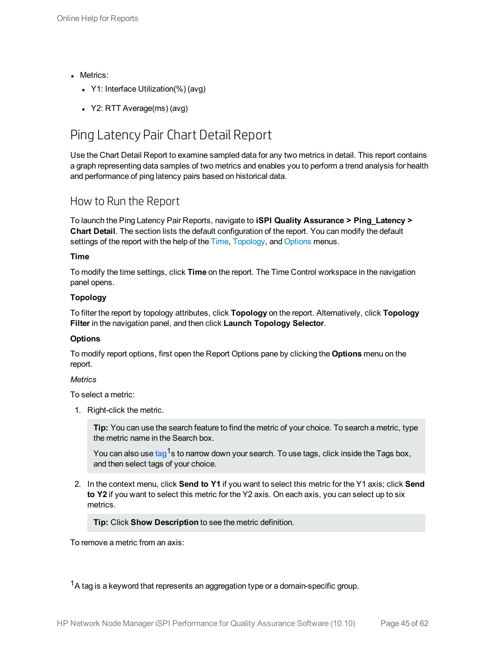- Metrics:
	- Y1: Interface Utilization(%) (avg)
	- $Y2: RTT Average(ms) (avg)$

## <span id="page-44-0"></span>Ping Latency Pair Chart Detail Report

Use the Chart Detail Report to examine sampled data for any two metrics in detail. This report contains a graph representing data samples of two metrics and enables you to perform a trend analysis for health and performance of ping latency pairs based on historical data.

### <span id="page-44-1"></span>How to Run the Report

To launch the Ping Latency Pair Reports, navigate to **iSPI Quality Assurance > Ping\_Latency > Chart Detail**. The section lists the default configuration of the report. You can modify the default settings of the report with the help of the [Time](#page-44-2), [Topology,](#page-44-3) and [Options](#page-44-4) menus.

### <span id="page-44-2"></span>**Time**

To modify the time settings, click **Time** on the report. The Time Control workspace in the navigation panel opens.

### <span id="page-44-3"></span>**Topology**

To filter the report by topology attributes, click **Topology** on the report. Alternatively, click **Topology Filter** in the navigation panel, and then click **Launch Topology Selector**.

### <span id="page-44-4"></span>**Options**

To modify report options, first open the Report Options pane by clicking the **Options** menu on the report.

### *Metrics*

To select a metric:

1. Right-click the metric.

**Tip:** You can use the search feature to find the metric of your choice. To search a metric, type the metric name in the Search box.

You can also use tag<sup>1</sup>s to narrow down your search. To use tags, click inside the Tags box, and then select tags of your choice.

2. In the context menu, click **Send to Y1** if you want to select this metric for the Y1 axis; click **Send to Y2** if you want to select this metric for the Y2 axis. On each axis, you can select up to six metrics.

**Tip:** Click **Show Description** to see the metric definition.

To remove a metric from an axis: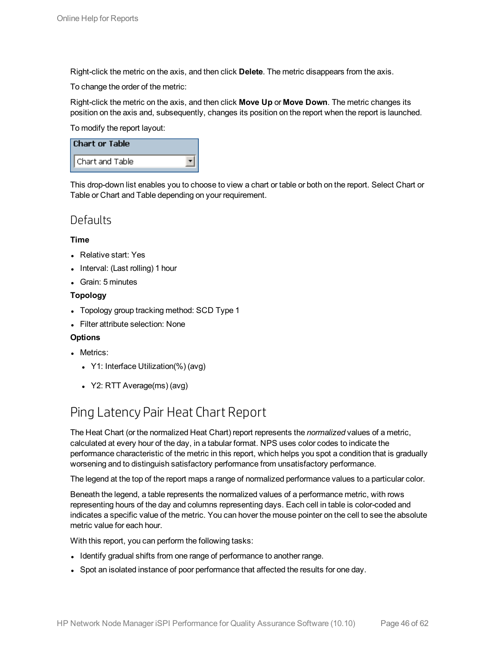Right-click the metric on the axis, and then click **Delete**. The metric disappears from the axis.

To change the order of the metric:

Right-click the metric on the axis, and then click **Move Up** or **Move Down**. The metric changes its position on the axis and, subsequently, changes its position on the report when the report is launched.

To modify the report layout:

| <b>Chart or Table</b> |  |
|-----------------------|--|
| Chart and Table       |  |

This drop-down list enables you to choose to view a chart or table or both on the report. Select Chart or Table or Chart and Table depending on your requirement.

### <span id="page-45-0"></span>**Defaults**

### **Time**

- Relative start: Yes
- $\bullet$  Interval: (Last rolling) 1 hour
- Grain: 5 minutes

### **Topology**

- Topology group tracking method: SCD Type 1
- Filter attribute selection: None

### **Options**

- Metrics:
	- Y1: Interface Utilization(%) (avg)
	- $\cdot$  Y2: RTT Average(ms) (avg)

## <span id="page-45-1"></span>Ping Latency Pair Heat Chart Report

The Heat Chart (or the normalized Heat Chart) report represents the *normalized* values of a metric, calculated at every hour of the day, in a tabular format. NPS uses color codes to indicate the performance characteristic of the metric in this report, which helps you spot a condition that is gradually worsening and to distinguish satisfactory performance from unsatisfactory performance.

The legend at the top of the report maps a range of normalized performance values to a particular color.

Beneath the legend, a table represents the normalized values of a performance metric, with rows representing hours of the day and columns representing days. Each cell in table is color-coded and indicates a specific value of the metric. You can hover the mouse pointer on the cell to see the absolute metric value for each hour.

With this report, you can perform the following tasks:

- Identify gradual shifts from one range of performance to another range.
- Spot an isolated instance of poor performance that affected the results for one day.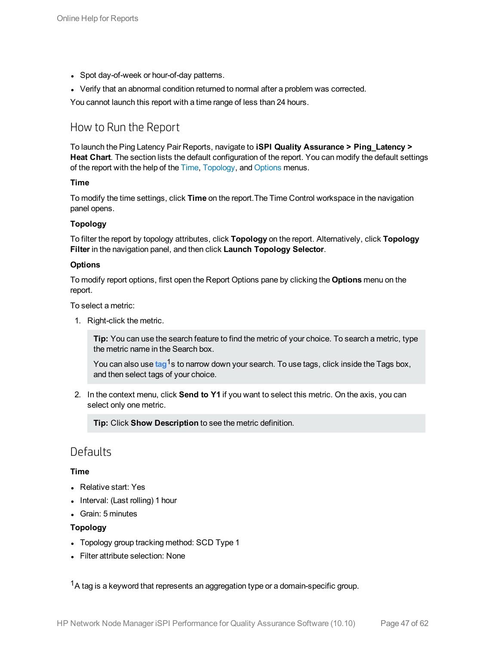- Spot day-of-week or hour-of-day patterns.
- Verify that an abnormal condition returned to normal after a problem was corrected.

<span id="page-46-0"></span>You cannot launch this report with a time range of less than 24 hours.

### How to Run the Report

To launch the Ping Latency Pair Reports, navigate to **iSPI Quality Assurance > Ping\_Latency > Heat Chart**. The section lists the default configuration of the report. You can modify the default settings of the report with the help of the [Time,](#page-46-2) [Topology,](#page-46-3) and [Options](#page-46-4) menus.

### <span id="page-46-2"></span>**Time**

To modify the time settings, click **Time** on the report.The Time Control workspace in the navigation panel opens.

### <span id="page-46-3"></span>**Topology**

To filter the report by topology attributes, click **Topology** on the report. Alternatively, click **Topology Filter** in the navigation panel, and then click **Launch Topology Selector**.

### <span id="page-46-4"></span>**Options**

To modify report options, first open the Report Options pane by clicking the **Options** menu on the report.

To select a metric:

1. Right-click the metric.

**Tip:** You can use the search feature to find the metric of your choice. To search a metric, type the metric name in the Search box.

You can also use tag<sup>1</sup>s to narrow down your search. To use tags, click inside the Tags box, and then select tags of your choice.

2. In the context menu, click **Send to Y1** if you want to select this metric. On the axis, you can select only one metric.

**Tip:** Click **Show Description** to see the metric definition.

### <span id="page-46-1"></span>**Defaults**

### **Time**

- Relative start: Yes
- $\bullet$  Interval: (Last rolling) 1 hour
- Grain: 5 minutes

### **Topology**

- Topology group tracking method: SCD Type 1
- Filter attribute selection: None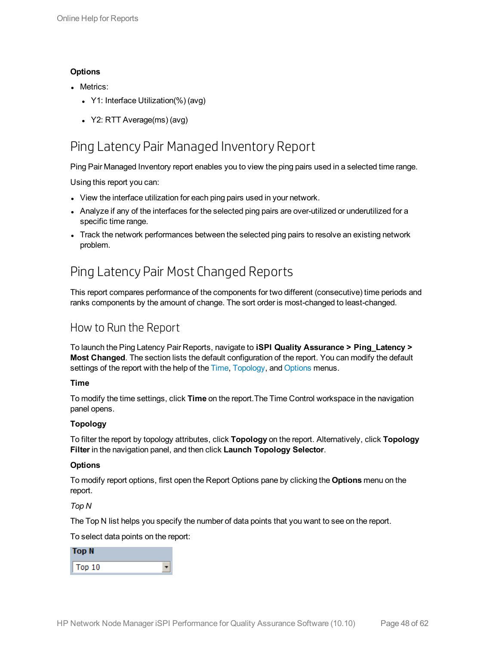### **Options**

- Metrics:
	- Y1: Interface Utilization(%) (avg)
	- Y2: RTT Average(ms) (avg)

## <span id="page-47-0"></span>Ping Latency Pair Managed Inventory Report

Ping Pair Managed Inventory report enables you to view the ping pairs used in a selected time range.

Using this report you can:

- View the interface utilization for each ping pairs used in your network.
- Analyze if any of the interfaces for the selected ping pairs are over-utilized or underutilized for a specific time range.
- <span id="page-47-1"></span>- Track the network performances between the selected ping pairs to resolve an existing network problem.

## Ping Latency Pair Most Changed Reports

This report compares performance of the components for two different (consecutive) time periods and ranks components by the amount of change. The sort order is most-changed to least-changed.

### <span id="page-47-2"></span>How to Run the Report

To launch the Ping Latency Pair Reports, navigate to **iSPI Quality Assurance > Ping\_Latency > Most Changed**. The section lists the default configuration of the report. You can modify the default settings of the report with the help of the [Time](#page-47-3), [Topology,](#page-47-4) and [Options](#page-47-5) menus.

### <span id="page-47-3"></span>**Time**

To modify the time settings, click **Time** on the report.The Time Control workspace in the navigation panel opens.

### <span id="page-47-4"></span>**Topology**

To filter the report by topology attributes, click **Topology** on the report. Alternatively, click **Topology Filter** in the navigation panel, and then click **Launch Topology Selector**.

### <span id="page-47-5"></span>**Options**

To modify report options, first open the Report Options pane by clicking the **Options** menu on the report.

### *Top N*

The Top N list helps you specify the number of data points that you want to see on the report.

To select data points on the report:

| Top N  |  |
|--------|--|
| Top 10 |  |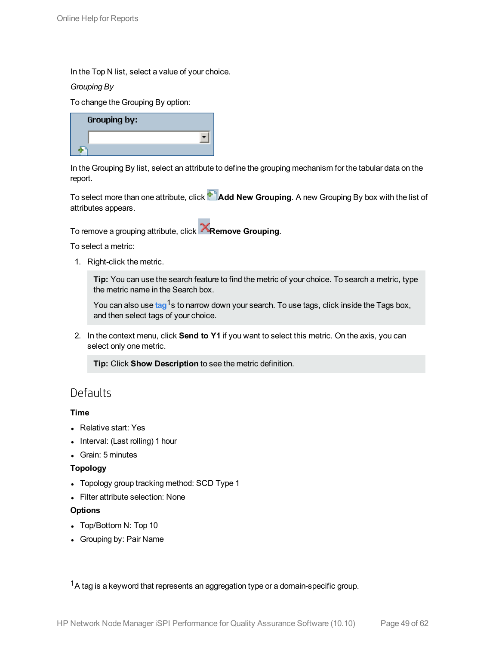In the Top N list, select a value of your choice.

### *Grouping By*

To change the Grouping By option:

| Grouping by: |  |
|--------------|--|
|              |  |
|              |  |

In the Grouping By list, select an attribute to define the grouping mechanism for the tabular data on the report.

To select more than one attribute, click **Add New Grouping**. A new Grouping By box with the list of attributes appears.

To remove a grouping attribute, click **Remove Grouping**.

To select a metric:

1. Right-click the metric.

**Tip:** You can use the search feature to find the metric of your choice. To search a metric, type the metric name in the Search box.

You can also use tag<sup>1</sup>s to narrow down your search. To use tags, click inside the Tags box, and then select tags of your choice.

2. In the context menu, click **Send to Y1** if you want to select this metric. On the axis, you can select only one metric.

**Tip:** Click **Show Description** to see the metric definition.

### <span id="page-48-0"></span>**Defaults**

### **Time**

- Relative start: Yes
- Interval: (Last rolling) 1 hour
- Grain: 5 minutes

### **Topology**

- Topology group tracking method: SCD Type 1
- Filter attribute selection: None

### **Options**

- Top/Bottom N: Top 10
- Grouping by: Pair Name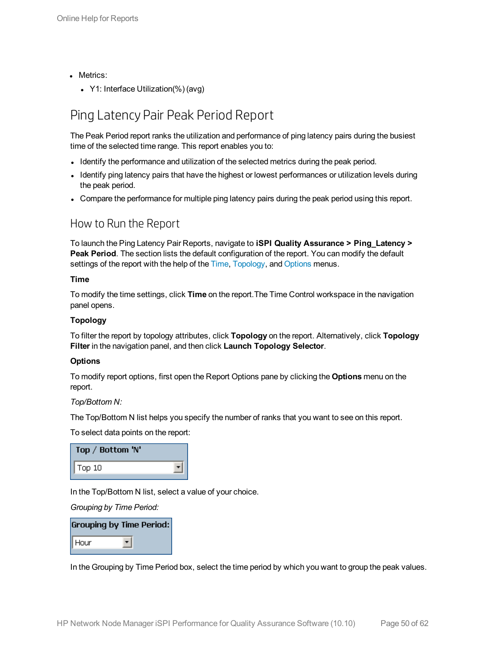- Metrics:
	- Y1: Interface Utilization(%) (avg)

## <span id="page-49-0"></span>Ping Latency Pair Peak Period Report

The Peak Period report ranks the utilization and performance of ping latency pairs during the busiest time of the selected time range. This report enables you to:

- Identify the performance and utilization of the selected metrics during the peak period.
- Identify ping latency pairs that have the highest or lowest performances or utilization levels during the peak period.
- <span id="page-49-1"></span>• Compare the performance for multiple ping latency pairs during the peak period using this report.

### How to Run the Report

To launch the Ping Latency Pair Reports, navigate to **iSPI Quality Assurance > Ping\_Latency > Peak Period**. The section lists the default configuration of the report. You can modify the default settings of the report with the help of the [Time](#page-49-2), [Topology,](#page-49-3) and [Options](#page-49-4) menus.

### <span id="page-49-2"></span>**Time**

To modify the time settings, click **Time** on the report.The Time Control workspace in the navigation panel opens.

### <span id="page-49-3"></span>**Topology**

To filter the report by topology attributes, click **Topology** on the report. Alternatively, click **Topology Filter** in the navigation panel, and then click **Launch Topology Selector**.

### <span id="page-49-4"></span>**Options**

To modify report options, first open the Report Options pane by clicking the **Options** menu on the report.

### *Top/Bottom N:*

The Top/Bottom N list helps you specify the number of ranks that you want to see on this report.

To select data points on the report:

| Top / Bottom 'N' |  |
|------------------|--|
| Top 10           |  |

In the Top/Bottom N list, select a value of your choice.

*Grouping by Time Period:*

|      | <b>Grouping by Time Period:</b> |
|------|---------------------------------|
| Hour |                                 |

In the Grouping by Time Period box, select the time period by which you want to group the peak values.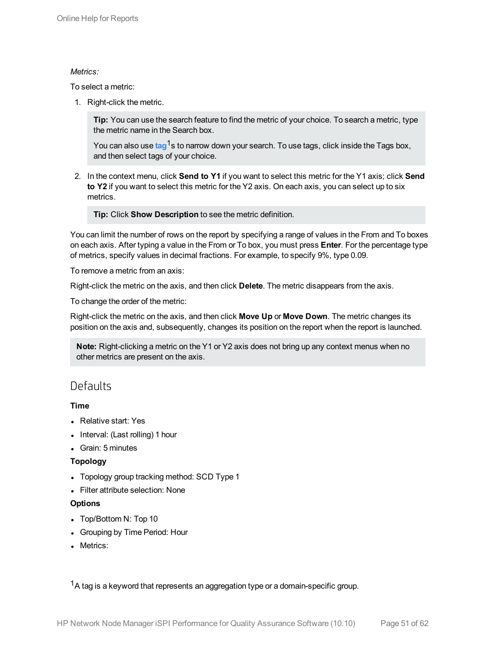### *Metrics:*

To select a metric:

1. Right-click the metric.

**Tip:** You can use the search feature to find the metric of your choice. To search a metric, type the metric name in the Search box.

You can also use tag<sup>1</sup>s to narrow down your search. To use tags, click inside the Tags box, and then select tags of your choice.

2. In the context menu, click **Send to Y1** if you want to select this metric for the Y1 axis; click **Send to Y2** if you want to select this metric for the Y2 axis. On each axis, you can select up to six metrics.

**Tip:** Click **Show Description** to see the metric definition.

You can limit the number of rows on the report by specifying a range of values in the From and To boxes on each axis. After typing a value in the From or To box, you must press **Enter**. For the percentage type of metrics, specify values in decimal fractions. For example, to specify 9%, type 0.09.

To remove a metric from an axis:

Right-click the metric on the axis, and then click **Delete**. The metric disappears from the axis.

To change the order of the metric:

Right-click the metric on the axis, and then click **Move Up** or **Move Down**. The metric changes its position on the axis and, subsequently, changes its position on the report when the report is launched.

**Note:** Right-clicking a metric on the Y1 or Y2 axis does not bring up any context menus when no other metrics are present on the axis.

### <span id="page-50-0"></span>**Defaults**

### **Time**

- Relative start: Yes
- Interval: (Last rolling) 1 hour
- Grain: 5 minutes

### **Topology**

- Topology group tracking method: SCD Type 1
- Filter attribute selection: None

### **Options**

- Top/Bottom N: Top 10
- Grouping by Time Period: Hour
- Metrics: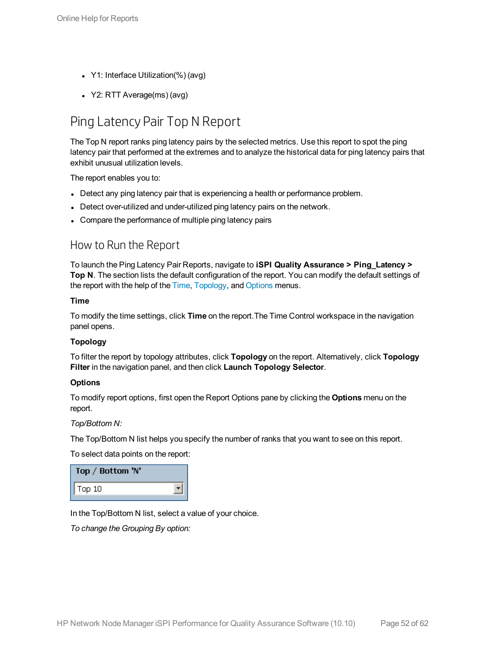- Y1: Interface Utilization(%) (avg)
- <span id="page-51-0"></span>• Y2: RTT Average(ms) (avg)

## Ping Latency Pair Top N Report

The Top N report ranks ping latency pairs by the selected metrics. Use this report to spot the ping latency pair that performed at the extremes and to analyze the historical data for ping latency pairs that exhibit unusual utilization levels.

The report enables you to:

- Detect any ping latency pair that is experiencing a health or performance problem.
- Detect over-utilized and under-utilized ping latency pairs on the network.
- <span id="page-51-1"></span>• Compare the performance of multiple ping latency pairs

### How to Run the Report

To launch the Ping Latency Pair Reports, navigate to **iSPI Quality Assurance > Ping\_Latency > Top N**. The section lists the default configuration of the report. You can modify the default settings of the report with the help of the [Time](#page-51-2), [Topology](#page-51-3), and [Options](#page-51-4) menus.

#### <span id="page-51-2"></span>**Time**

To modify the time settings, click **Time** on the report.The Time Control workspace in the navigation panel opens.

### <span id="page-51-3"></span>**Topology**

To filter the report by topology attributes, click **Topology** on the report. Alternatively, click **Topology Filter** in the navigation panel, and then click **Launch Topology Selector**.

#### <span id="page-51-4"></span>**Options**

To modify report options, first open the Report Options pane by clicking the **Options** menu on the report.

#### *Top/Bottom N:*

The Top/Bottom N list helps you specify the number of ranks that you want to see on this report.

To select data points on the report:

| Top / Bottom 'N' |  |
|------------------|--|
| Top 10           |  |

In the Top/Bottom N list, select a value of your choice.

*To change the Grouping By option:*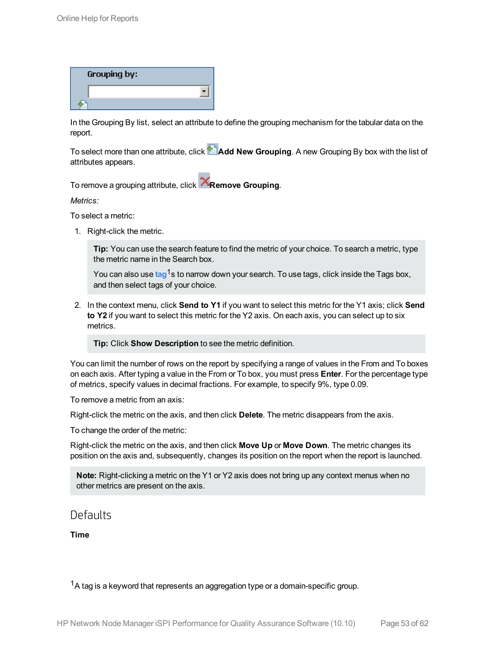| Grouping by: |  |
|--------------|--|
|              |  |
|              |  |

In the Grouping By list, select an attribute to define the grouping mechanism for the tabular data on the report.

To select more than one attribute, click **Add New Grouping**. A new Grouping By box with the list of attributes appears.

To remove a grouping attribute, click **Remove Grouping**.

*Metrics:*

To select a metric:

1. Right-click the metric.

**Tip:** You can use the search feature to find the metric of your choice. To search a metric, type the metric name in the Search box.

You can also use tag<sup>1</sup>s to narrow down your search. To use tags, click inside the Tags box, and then select tags of your choice.

2. In the context menu, click **Send to Y1** if you want to select this metric for the Y1 axis; click **Send to Y2** if you want to select this metric for the Y2 axis. On each axis, you can select up to six metrics.

**Tip:** Click **Show Description** to see the metric definition.

You can limit the number of rows on the report by specifying a range of values in the From and To boxes on each axis. After typing a value in the From or To box, you must press **Enter**. For the percentage type of metrics, specify values in decimal fractions. For example, to specify 9%, type 0.09.

To remove a metric from an axis:

Right-click the metric on the axis, and then click **Delete**. The metric disappears from the axis.

To change the order of the metric:

Right-click the metric on the axis, and then click **Move Up** or **Move Down**. The metric changes its position on the axis and, subsequently, changes its position on the report when the report is launched.

**Note:** Right-clicking a metric on the Y1 or Y2 axis does not bring up any context menus when no other metrics are present on the axis.

### <span id="page-52-0"></span>Defaults

**Time**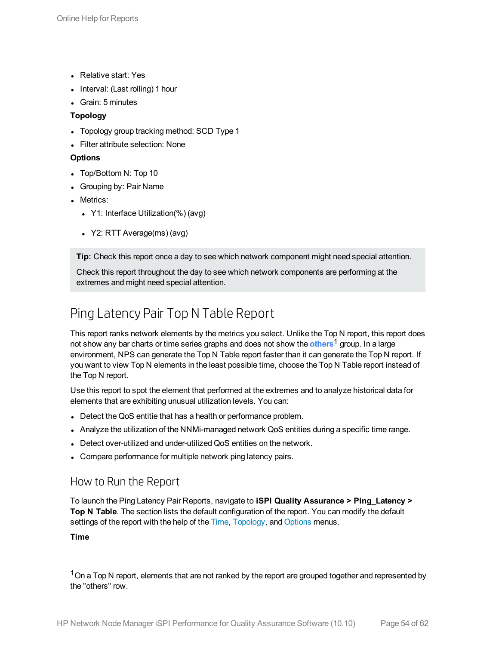- Relative start: Yes
- Interval: (Last rolling) 1 hour
- Grain: 5 minutes

### **Topology**

- Topology group tracking method: SCD Type 1
- Filter attribute selection: None

### **Options**

- Top/Bottom N: Top 10
- Grouping by: Pair Name
- Metrics:
	- Y1: Interface Utilization(%) (avg)
	- Y2: RTT Average(ms) (avg)

**Tip:** Check this report once a day to see which network component might need special attention.

Check this report throughout the day to see which network components are performing at the extremes and might need special attention.

## <span id="page-53-0"></span>Ping Latency Pair Top N Table Report

This report ranks network elements by the metrics you select. Unlike the Top N report, this report does not show any bar charts or time series graphs and does not show the **others**1 group. In a large environment, NPS can generate the Top N Table report faster than it can generate the Top N report. If you want to view Top N elements in the least possible time, choose the Top N Table report instead of the Top N report.

Use this report to spot the element that performed at the extremes and to analyze historical data for elements that are exhibiting unusual utilization levels. You can:

- Detect the QoS entitie that has a health or performance problem.
- Analyze the utilization of the NNMi-managed network QoS entities during a specific time range.
- Detect over-utilized and under-utilized QoS entities on the network.
- <span id="page-53-1"></span>• Compare performance for multiple network ping latency pairs.

### How to Run the Report

To launch the Ping Latency Pair Reports, navigate to **iSPI Quality Assurance > Ping\_Latency > Top N Table**. The section lists the default configuration of the report. You can modify the default settings of the report with the help of the [Time](#page-53-2), [Topology,](#page-54-0) and [Options](#page-54-1) menus.

### <span id="page-53-2"></span>**Time**

 $1$ On a Top N report, elements that are not ranked by the report are grouped together and represented by the "others" row.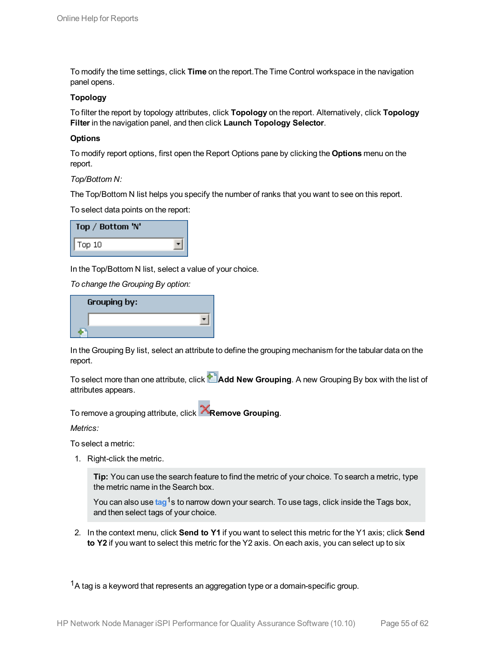To modify the time settings, click **Time** on the report.The Time Control workspace in the navigation panel opens.

### <span id="page-54-0"></span>**Topology**

To filter the report by topology attributes, click **Topology** on the report. Alternatively, click **Topology Filter** in the navigation panel, and then click **Launch Topology Selector**.

#### <span id="page-54-1"></span>**Options**

To modify report options, first open the Report Options pane by clicking the **Options** menu on the report.

#### *Top/Bottom N:*

The Top/Bottom N list helps you specify the number of ranks that you want to see on this report.

To select data points on the report:

| Top / Bottom 'N' |  |
|------------------|--|
| Top 10           |  |

In the Top/Bottom N list, select a value of your choice.

*To change the Grouping By option:*

| Grouping by: |  |
|--------------|--|
|              |  |
|              |  |

In the Grouping By list, select an attribute to define the grouping mechanism for the tabular data on the report.

To select more than one attribute, click **Add New Grouping**. A new Grouping By box with the list of attributes appears.

To remove a grouping attribute, click **Remove Grouping**.

*Metrics:*

To select a metric:

1. Right-click the metric.

**Tip:** You can use the search feature to find the metric of your choice. To search a metric, type the metric name in the Search box.

You can also use tag<sup>1</sup>s to narrow down your search. To use tags, click inside the Tags box, and then select tags of your choice.

2. In the context menu, click **Send to Y1** if you want to select this metric for the Y1 axis; click **Send to Y2** if you want to select this metric for the Y2 axis. On each axis, you can select up to six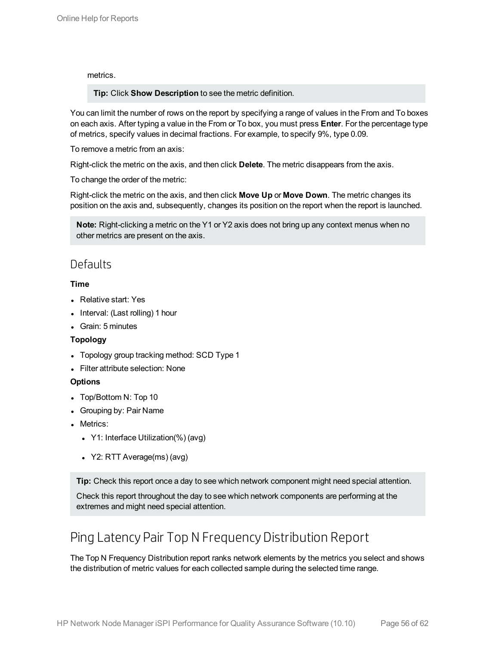### metrics.

**Tip:** Click **Show Description** to see the metric definition.

You can limit the number of rows on the report by specifying a range of values in the From and To boxes on each axis. After typing a value in the From or To box, you must press **Enter**. For the percentage type of metrics, specify values in decimal fractions. For example, to specify 9%, type 0.09.

To remove a metric from an axis:

Right-click the metric on the axis, and then click **Delete**. The metric disappears from the axis.

To change the order of the metric:

Right-click the metric on the axis, and then click **Move Up** or **Move Down**. The metric changes its position on the axis and, subsequently, changes its position on the report when the report is launched.

**Note:** Right-clicking a metric on the Y1 or Y2 axis does not bring up any context menus when no other metrics are present on the axis.

### <span id="page-55-0"></span>**Defaults**

### **Time**

- Relative start: Yes
- Interval: (Last rolling) 1 hour
- Grain: 5 minutes

### **Topology**

- Topology group tracking method: SCD Type 1
- Filter attribute selection: None

### **Options**

- Top/Bottom N: Top 10
- Grouping by: Pair Name
- Metrics:
	- Y1: Interface Utilization(%) (avg)
	- Y2: RTT Average(ms) (avg)

**Tip:** Check this report once a day to see which network component might need special attention.

Check this report throughout the day to see which network components are performing at the extremes and might need special attention.

## <span id="page-55-1"></span>Ping Latency Pair Top N Frequency Distribution Report

The Top N Frequency Distribution report ranks network elements by the metrics you select and shows the distribution of metric values for each collected sample during the selected time range.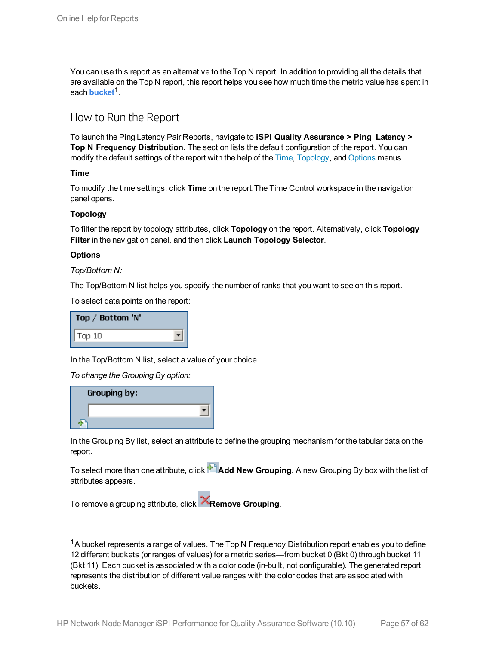You can use this report as an alternative to the Top N report. In addition to providing all the details that are available on the Top N report, this report helps you see how much time the metric value has spent in each **bucket**1.

### <span id="page-56-0"></span>How to Run the Report

To launch the Ping Latency Pair Reports, navigate to **iSPI Quality Assurance > Ping\_Latency > Top N Frequency Distribution**. The section lists the default configuration of the report. You can modify the default settings of the report with the help of the [Time](#page-56-1), [Topology](#page-56-2), and [Options](#page-56-3) menus.

<span id="page-56-1"></span>**Time**

To modify the time settings, click **Time** on the report.The Time Control workspace in the navigation panel opens.

### <span id="page-56-2"></span>**Topology**

To filter the report by topology attributes, click **Topology** on the report. Alternatively, click **Topology Filter** in the navigation panel, and then click **Launch Topology Selector**.

### <span id="page-56-3"></span>**Options**

*Top/Bottom N:*

The Top/Bottom N list helps you specify the number of ranks that you want to see on this report.

To select data points on the report:

| Top / Bottom 'N' |  |
|------------------|--|
| Top 10           |  |

In the Top/Bottom N list, select a value of your choice.

*To change the Grouping By option:*

| Grouping by: |  |
|--------------|--|
|              |  |
|              |  |

In the Grouping By list, select an attribute to define the grouping mechanism for the tabular data on the report.

To select more than one attribute, click **Add New Grouping**. A new Grouping By box with the list of attributes appears.

To remove a grouping attribute, click **Remove Grouping**.

 $1A$  bucket represents a range of values. The Top N Frequency Distribution report enables you to define 12 different buckets (or ranges of values) for a metric series—from bucket 0 (Bkt 0) through bucket 11 (Bkt 11). Each bucket is associated with a color code (in-built, not configurable). The generated report represents the distribution of different value ranges with the color codes that are associated with buckets.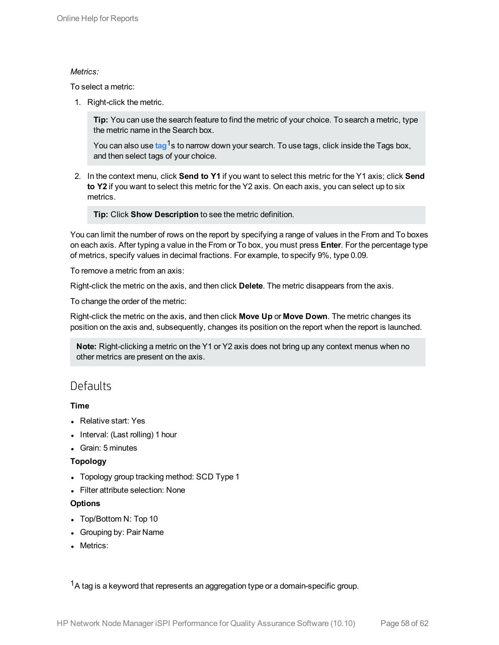### *Metrics:*

To select a metric:

1. Right-click the metric.

**Tip:** You can use the search feature to find the metric of your choice. To search a metric, type the metric name in the Search box.

You can also use tag<sup>1</sup>s to narrow down your search. To use tags, click inside the Tags box, and then select tags of your choice.

2. In the context menu, click **Send to Y1** if you want to select this metric for the Y1 axis; click **Send to Y2** if you want to select this metric for the Y2 axis. On each axis, you can select up to six metrics.

**Tip:** Click **Show Description** to see the metric definition.

You can limit the number of rows on the report by specifying a range of values in the From and To boxes on each axis. After typing a value in the From or To box, you must press **Enter**. For the percentage type of metrics, specify values in decimal fractions. For example, to specify 9%, type 0.09.

To remove a metric from an axis:

Right-click the metric on the axis, and then click **Delete**. The metric disappears from the axis.

To change the order of the metric:

Right-click the metric on the axis, and then click **Move Up** or **Move Down**. The metric changes its position on the axis and, subsequently, changes its position on the report when the report is launched.

**Note:** Right-clicking a metric on the Y1 or Y2 axis does not bring up any context menus when no other metrics are present on the axis.

### <span id="page-57-0"></span>**Defaults**

### **Time**

- Relative start: Yes
- Interval: (Last rolling) 1 hour
- Grain: 5 minutes

### **Topology**

- Topology group tracking method: SCD Type 1
- Filter attribute selection: None

### **Options**

- Top/Bottom N: Top 10
- Grouping by: Pair Name
- Metrics: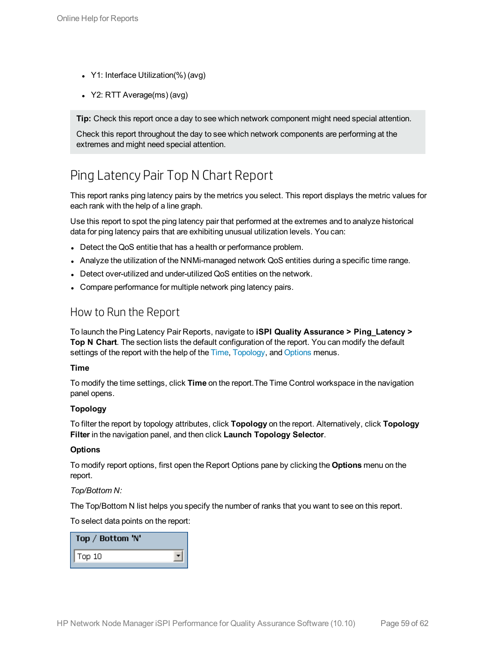- Y1: Interface Utilization(%) (avg)
- $\cdot$  Y2: RTT Average(ms) (avg)

**Tip:** Check this report once a day to see which network component might need special attention.

Check this report throughout the day to see which network components are performing at the extremes and might need special attention.

## <span id="page-58-0"></span>Ping Latency Pair Top N Chart Report

This report ranks ping latency pairs by the metrics you select. This report displays the metric values for each rank with the help of a line graph.

Use this report to spot the ping latency pair that performed at the extremes and to analyze historical data for ping latency pairs that are exhibiting unusual utilization levels. You can:

- Detect the QoS entitie that has a health or performance problem.
- Analyze the utilization of the NNMi-managed network QoS entities during a specific time range.
- Detect over-utilized and under-utilized QoS entities on the network.
- <span id="page-58-1"></span>• Compare performance for multiple network ping latency pairs.

### How to Run the Report

To launch the Ping Latency Pair Reports, navigate to **iSPI Quality Assurance > Ping\_Latency > Top N Chart**. The section lists the default configuration of the report. You can modify the default settings of the report with the help of the [Time](#page-58-2), [Topology,](#page-58-3) and [Options](#page-58-4) menus.

### <span id="page-58-2"></span>**Time**

To modify the time settings, click **Time** on the report.The Time Control workspace in the navigation panel opens.

### <span id="page-58-3"></span>**Topology**

To filter the report by topology attributes, click **Topology** on the report. Alternatively, click **Topology Filter** in the navigation panel, and then click **Launch Topology Selector**.

### <span id="page-58-4"></span>**Options**

To modify report options, first open the Report Options pane by clicking the **Options** menu on the report.

### *Top/Bottom N:*

The Top/Bottom N list helps you specify the number of ranks that you want to see on this report.

To select data points on the report:

| Top / Bottom 'N'  |  |
|-------------------|--|
| $\mathsf{Top}$ 10 |  |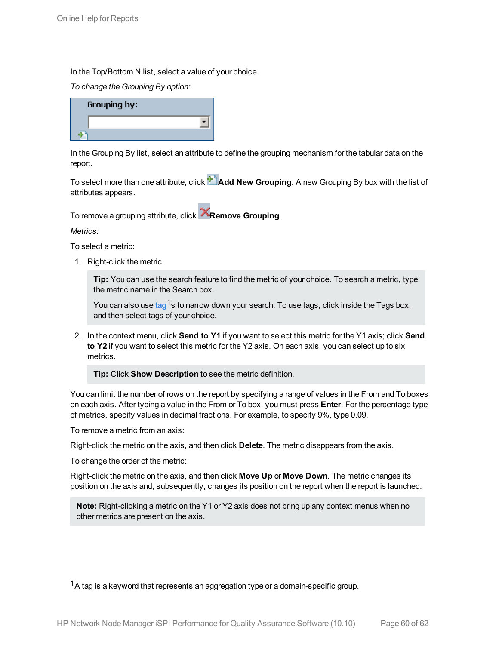In the Top/Bottom N list, select a value of your choice.

*To change the Grouping By option:*

| <b>Grouping by:</b> |  |
|---------------------|--|
|                     |  |
|                     |  |

In the Grouping By list, select an attribute to define the grouping mechanism for the tabular data on the report.

To select more than one attribute, click **Add New Grouping**. A new Grouping By box with the list of attributes appears.

To remove a grouping attribute, click **Remove Grouping**.

*Metrics:*

To select a metric:

1. Right-click the metric.

**Tip:** You can use the search feature to find the metric of your choice. To search a metric, type the metric name in the Search box.

You can also use tag<sup>1</sup>s to narrow down your search. To use tags, click inside the Tags box, and then select tags of your choice.

2. In the context menu, click **Send to Y1** if you want to select this metric for the Y1 axis; click **Send to Y2** if you want to select this metric for the Y2 axis. On each axis, you can select up to six metrics.

**Tip:** Click **Show Description** to see the metric definition.

You can limit the number of rows on the report by specifying a range of values in the From and To boxes on each axis. After typing a value in the From or To box, you must press **Enter**. For the percentage type of metrics, specify values in decimal fractions. For example, to specify 9%, type 0.09.

To remove a metric from an axis:

Right-click the metric on the axis, and then click **Delete**. The metric disappears from the axis.

To change the order of the metric:

Right-click the metric on the axis, and then click **Move Up** or **Move Down**. The metric changes its position on the axis and, subsequently, changes its position on the report when the report is launched.

**Note:** Right-clicking a metric on the Y1 or Y2 axis does not bring up any context menus when no other metrics are present on the axis.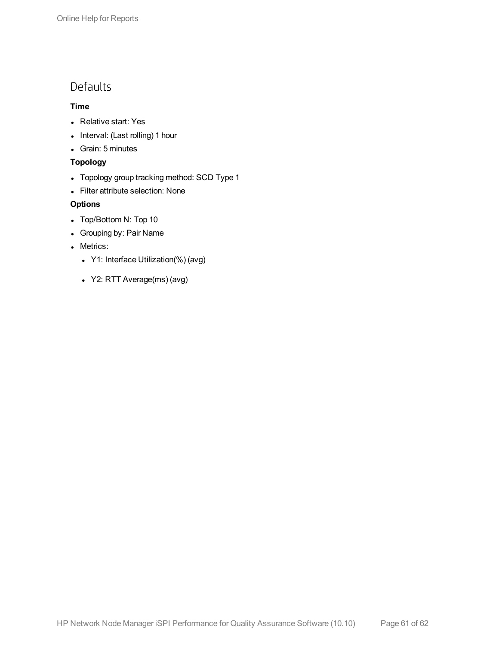### <span id="page-60-0"></span>Defaults

### **Time**

- Relative start: Yes
- Interval: (Last rolling) 1 hour
- Grain: 5 minutes

### **Topology**

- Topology group tracking method: SCD Type 1
- Filter attribute selection: None

### **Options**

- Top/Bottom N: Top 10
- Grouping by: Pair Name
- Metrics:
	- Y1: Interface Utilization(%) (avg)
	- Y2: RTT Average(ms) (avg)